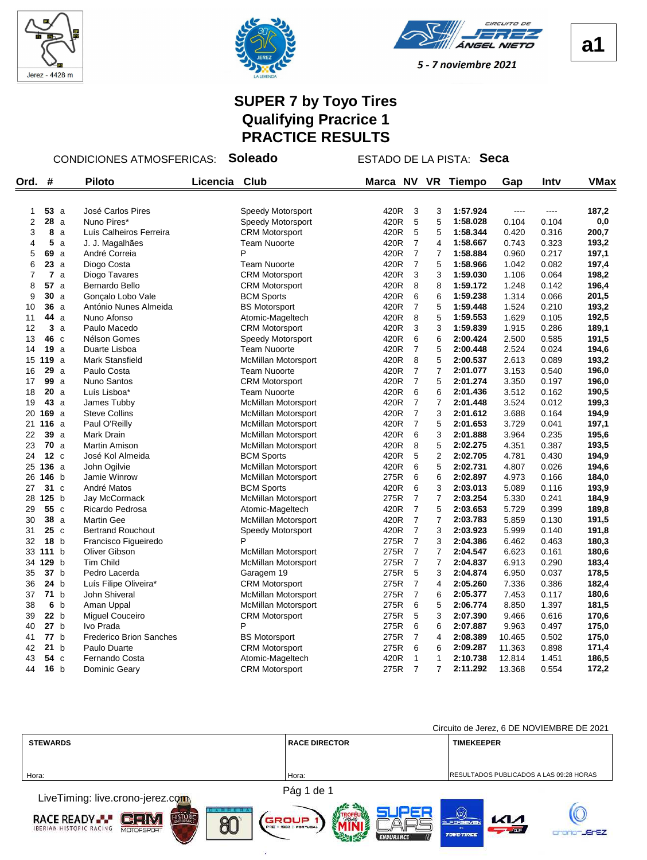





# **SUPER 7 by Toyo Tires Qualifying Pracrice 1 PRACTICE RESULTS**

#### CONDICIONES ATMOSFERICAS: **Soleado** ESTADO DE LA PISTA: **Seca**

| Ord.           | #                |     | <b>Piloto</b>            | Licencia | Club                       | Marca NV |                | <b>VR</b>      | <b>Tiempo</b> | Gap    | Intv  | <b>VMax</b> |
|----------------|------------------|-----|--------------------------|----------|----------------------------|----------|----------------|----------------|---------------|--------|-------|-------------|
|                |                  |     |                          |          |                            |          |                |                |               |        |       |             |
| 1              | 53a              |     | José Carlos Pires        |          | Speedy Motorsport          | 420R     | 3              | 3              | 1:57.924      | ----   | ----  | 187,2       |
| $\overline{2}$ | 28a              |     | Nuno Pires*              |          | Speedy Motorsport          | 420R     | 5              | 5              | 1:58.028      | 0.104  | 0.104 | 0,0         |
| 3              |                  | 8a  | Luís Calheiros Ferreira  |          | <b>CRM Motorsport</b>      | 420R     | 5              | 5              | 1:58.344      | 0.420  | 0.316 | 200,7       |
| 4              | 5                | a   | J. J. Magalhães          |          | <b>Team Nuoorte</b>        | 420R     | $\overline{7}$ | $\overline{4}$ | 1:58.667      | 0.743  | 0.323 | 193,2       |
| 5              | 69 a             |     | André Correia            |          | P                          | 420R     | $\overline{7}$ | $\overline{7}$ | 1:58.884      | 0.960  | 0.217 | 197,1       |
| 6              | 23a              |     | Diogo Costa              |          | <b>Team Nuoorte</b>        | 420R     | $\overline{7}$ | $\mathbf 5$    | 1:58.966      | 1.042  | 0.082 | 197,4       |
| $\overline{7}$ | 7                | a   | Diogo Tavares            |          | <b>CRM Motorsport</b>      | 420R     | 3              | 3              | 1:59.030      | 1.106  | 0.064 | 198,2       |
| 8              | 57 a             |     | Bernardo Bello           |          | <b>CRM Motorsport</b>      | 420R     | 8              | 8              | 1:59.172      | 1.248  | 0.142 | 196,4       |
| 9              | 30a              |     | Gonçalo Lobo Vale        |          | <b>BCM Sports</b>          | 420R     | 6              | 6              | 1:59.238      | 1.314  | 0.066 | 201,5       |
| 10             | 36a              |     | António Nunes Almeida    |          | <b>BS Motorsport</b>       | 420R     | $\overline{7}$ | 5              | 1:59.448      | 1.524  | 0.210 | 193,2       |
| 11             | 44 a             |     | Nuno Afonso              |          | Atomic-Mageltech           | 420R     | 8              | 5              | 1:59.553      | 1.629  | 0.105 | 192,5       |
| 12             |                  | 3a  | Paulo Macedo             |          | <b>CRM Motorsport</b>      | 420R     | 3              | 3              | 1:59.839      | 1.915  | 0.286 | 189,1       |
| 13             | 46 c             |     | Nélson Gomes             |          | Speedy Motorsport          | 420R     | 6              | 6              | 2:00.424      | 2.500  | 0.585 | 191,5       |
| 14             | 19a              |     | Duarte Lisboa            |          | <b>Team Nuoorte</b>        | 420R     | $\overline{7}$ | 5              | 2:00.448      | 2.524  | 0.024 | 194,6       |
|                | 15 119 a         |     | <b>Mark Stansfield</b>   |          | <b>McMillan Motorsport</b> | 420R     | 8              | 5              | 2:00.537      | 2.613  | 0.089 | 193,2       |
| 16             | 29a              |     | Paulo Costa              |          | <b>Team Nuoorte</b>        | 420R     | 7              | $\overline{7}$ | 2:01.077      | 3.153  | 0.540 | 196,0       |
| 17             | 99 a             |     | Nuno Santos              |          | <b>CRM Motorsport</b>      | 420R     | $\overline{7}$ | 5              | 2:01.274      | 3.350  | 0.197 | 196,0       |
| 18             | 20a              |     | Luís Lisboa*             |          | <b>Team Nuoorte</b>        | 420R     | 6              | 6              | 2:01.436      | 3.512  | 0.162 | 190,5       |
| 19             | 43 a             |     | James Tubby              |          | <b>McMillan Motorsport</b> | 420R     | $\overline{7}$ | $\overline{7}$ | 2:01.448      | 3.524  | 0.012 | 199,3       |
|                | 20 169 a         |     | <b>Steve Collins</b>     |          | McMillan Motorsport        | 420R     | $\overline{7}$ | 3              | 2:01.612      | 3.688  | 0.164 | 194,9       |
| 21             | <b>116</b> a     |     | Paul O'Reilly            |          | <b>McMillan Motorsport</b> | 420R     | $\overline{7}$ | 5              | 2:01.653      | 3.729  | 0.041 | 197,1       |
| 22             | 39a              |     | Mark Drain               |          | <b>McMillan Motorsport</b> | 420R     | 6              | 3              | 2:01.888      | 3.964  | 0.235 | 195,6       |
| 23             | 70a              |     | <b>Martin Amison</b>     |          | <b>McMillan Motorsport</b> | 420R     | 8              | 5              | 2:02.275      | 4.351  | 0.387 | 193,5       |
| 24             | 12 <sub>c</sub>  |     | José Kol Almeida         |          | <b>BCM Sports</b>          | 420R     | 5              | $\overline{c}$ | 2:02.705      | 4.781  | 0.430 | 194,9       |
|                | 25 136 a         |     | John Ogilvie             |          | <b>McMillan Motorsport</b> | 420R     | 6              | 5              | 2:02.731      | 4.807  | 0.026 | 194,6       |
| 26             | 146 b            |     | Jamie Winrow             |          | <b>McMillan Motorsport</b> | 275R     | 6              | 6              | 2:02.897      | 4.973  | 0.166 | 184,0       |
| 27             | 31 <sub>c</sub>  |     | André Matos              |          | <b>BCM Sports</b>          | 420R     | 6              | 3              | 2:03.013      | 5.089  | 0.116 | 193,9       |
| 28             | 125 b            |     | Jay McCormack            |          | McMillan Motorsport        | 275R     | $\overline{7}$ | $\overline{7}$ | 2:03.254      | 5.330  | 0.241 | 184,9       |
| 29             | 55 c             |     | Ricardo Pedrosa          |          | Atomic-Mageltech           | 420R     | $\overline{7}$ | 5              | 2:03.653      | 5.729  | 0.399 | 189,8       |
| 30             | 38a              |     | <b>Martin Gee</b>        |          | <b>McMillan Motorsport</b> | 420R     | $\overline{7}$ | $\overline{7}$ | 2:03.783      | 5.859  | 0.130 | 191,5       |
| 31             | 25c              |     | <b>Bertrand Rouchout</b> |          | Speedy Motorsport          | 420R     | $\overline{7}$ | 3              | 2:03.923      | 5.999  | 0.140 | 191,8       |
| 32             | 18 <sub>b</sub>  |     | Francisco Figueiredo     |          | P                          | 275R     | $\overline{7}$ | 3              | 2:04.386      | 6.462  | 0.463 | 180,3       |
|                | 33 111 b         |     | Oliver Gibson            |          | <b>McMillan Motorsport</b> | 275R     | $\overline{7}$ | $\overline{7}$ | 2:04.547      | 6.623  | 0.161 | 180,6       |
| 34             | 129 <sub>b</sub> |     | <b>Tim Child</b>         |          | <b>McMillan Motorsport</b> | 275R     | $\overline{7}$ | $\overline{7}$ | 2:04.837      | 6.913  | 0.290 | 183,4       |
| 35             | 37 <sub>b</sub>  |     | Pedro Lacerda            |          | Garagem 19                 | 275R     | 5              | 3              | 2:04.874      | 6.950  | 0.037 | 178,5       |
| 36             | 24 b             |     | Luís Filipe Oliveira*    |          | <b>CRM Motorsport</b>      | 275R     | 7              | $\overline{4}$ | 2:05.260      | 7.336  | 0.386 | 182,4       |
| 37             | 71 b             |     | John Shiveral            |          | McMillan Motorsport        | 275R     | $\overline{7}$ | 6              | 2:05.377      | 7.453  | 0.117 | 180,6       |
| 38             |                  | 6 b | Aman Uppal               |          | <b>McMillan Motorsport</b> | 275R     | 6              | 5              | 2:06.774      | 8.850  | 1.397 | 181,5       |
| 39             | 22 b             |     | Miguel Couceiro          |          | <b>CRM Motorsport</b>      | 275R     | 5              | 3              | 2:07.390      | 9.466  | 0.616 | 170,6       |
| 40             | 27 b             |     | Ivo Prada                |          | P                          | 275R     | 6              | 6              | 2:07.887      | 9.963  | 0.497 | 175,0       |
| 41             | 77 b             |     | Frederico Brion Sanches  |          | <b>BS Motorsport</b>       | 275R     | $\overline{7}$ | 4              | 2:08.389      | 10.465 | 0.502 | 175,0       |
| 42             | 21 <sub>b</sub>  |     | Paulo Duarte             |          | <b>CRM Motorsport</b>      | 275R     | 6              | 6              | 2:09.287      | 11.363 | 0.898 | 171,4       |
| 43             | 54 c             |     | Fernando Costa           |          | Atomic-Mageltech           | 420R     | $\mathbf{1}$   | $\mathbf{1}$   | 2:10.738      | 12.814 | 1.451 | 186,5       |
| 44             | 16 <sub>b</sub>  |     | Dominic Geary            |          | <b>CRM Motorsport</b>      | 275R     | $\overline{7}$ | $\overline{7}$ | 2:11.292      | 13.368 | 0.554 | 172,2       |

|                                                                                                    |                                              | Circuito de Jerez, 6 DE NOVIEMBRE DE 2021    |
|----------------------------------------------------------------------------------------------------|----------------------------------------------|----------------------------------------------|
| <b>STEWARDS</b>                                                                                    | <b>RACE DIRECTOR</b>                         | <b>TIMEKEEPER</b>                            |
|                                                                                                    |                                              |                                              |
| Hora:                                                                                              | Hora:                                        | RESULTADOS PUBLICADOS A LAS 09:28 HORAS      |
| LiveTiming: live.crono-jerez.com                                                                   | Pág 1 de 1                                   |                                              |
| ----                                                                                               |                                              |                                              |
| <b>HISTORIC</b><br><b>RACE READY."</b><br>ள<br><b>IBERIAN HISTORIC RACING</b><br><b>MOTOFSPORT</b> | <b>GROUP</b><br><b>PRE - 1982   PORTUGAL</b> | (x)<br><b>KM</b><br><b>SUPERSEVEN</b><br>CUP |

×.

**a1**

crono-JErEZ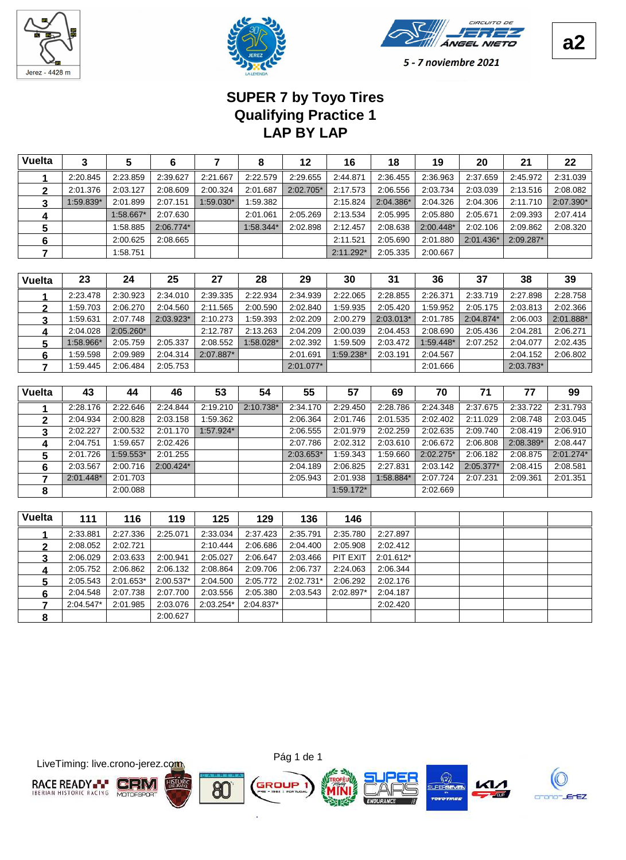





# **LAP BY LAP Qualifying Practice 1 SUPER 7 by Toyo Tires**

| <b>Vuelta</b> | 3         | 5         | 6           | 7         | 8         | 12        | 16          | 18          | 19        | 20        | 21        | 22        |
|---------------|-----------|-----------|-------------|-----------|-----------|-----------|-------------|-------------|-----------|-----------|-----------|-----------|
| 4             | 2:20.845  | 2:23.859  | 2:39.627    | 2:21.667  | 2:22.579  | 2:29.655  | 2:44.871    | 2:36.455    | 2:36.963  | 2:37.659  | 2:45.972  | 2:31.039  |
| $\mathbf{2}$  | 2:01.376  | 2:03.127  | 2:08.609    | 2:00.324  | 2:01.687  | 2:02.705* | 2:17.573    | 2:06.556    | 2:03.734  | 2:03.039  | 2:13.516  | 2:08.082  |
| 3             | 1:59.839* | 2:01.899  | 2:07.151    | 1:59.030* | 1:59.382  |           | 2:15.824    | 2:04.386*   | 2:04.326  | 2:04.306  | 2:11.710  | 2:07.390* |
| 4             |           | 1:58.667* | 2:07.630    |           | 2:01.061  | 2:05.269  | 2:13.534    | 2:05.995    | 2:05.880  | 2:05.671  | 2:09.393  | 2:07.414  |
| 5             |           | 1:58.885  | $2:06.774*$ |           | 1:58.344* | 2:02.898  | 2:12.457    | 2:08.638    | 2:00.448* | 2:02.106  | 2:09.862  | 2:08.320  |
| 6             |           | 2:00.625  | 2:08.665    |           |           |           | 2:11.521    | 2:05.690    | 2:01.880  | 2:01.436* | 2:09.287* |           |
| 7             |           | 1:58.751  |             |           |           |           | $2:11.292*$ | 2:05.335    | 2:00.667  |           |           |           |
|               |           |           |             |           |           |           |             |             |           |           |           |           |
| <b>Vuelta</b> | 23        | 24        | 25          | 27        | 28        | 29        | 30          | 31          | 36        | 37        | 38        | 39        |
|               | 2:23.478  | 2:30.923  | 2:34.010    | 2:39.335  | 2:22.934  | 2:34.939  | 2:22.065    | 2:28.855    | 2:26.371  | 2:33.719  | 2:27.898  | 2:28.758  |
| າ             | 1:59.703  | 2:06.270  | 2:04.560    | 2:11.565  | 2:00.590  | 2:02.840  | 1:59.935    | 2:05.420    | 1:59.952  | 2:05.175  | 2:03.813  | 2:02.366  |
| 3             | 1:59.631  | 2:07.748  | 2:03.923*   | 2:10.273  | 1:59.393  | 2:02.209  | 2:00.279    | $2:03.013*$ | 2:01.785  | 2:04.874* | 2:06.003  | 2:01.888* |
| 4             | 2:04.028  | 2:05.260* |             | 2:12.787  | 2:13.263  | 2:04.209  | 2:00.039    | 2:04.453    | 2:08.690  | 2:05.436  | 2:04.281  | 2:06.271  |
| 5             | 1:58.966* | 2:05.759  | 2:05.337    | 2:08.552  | 1:58.028* | 2:02.392  | 1:59.509    | 2:03.472    | 1:59.448* | 2:07.252  | 2:04.077  | 2:02.435  |
| 6             | 1:59.598  | 2:09.989  | 2:04.314    | 2:07.887* |           | 2:01.691  | 1:59.238*   | 2:03.191    | 2:04.567  |           | 2:04.152  | 2:06.802  |
| 7             | 1:59.445  | 2:06.484  | 2:05.753    |           |           | 2:01.077* |             |             | 2:01.666  |           | 2:03.783* |           |
|               |           |           |             |           |           |           |             |             |           |           |           |           |
| <b>Vuelta</b> | 43        | 44        | 46          | 53        | 54        | 55        | 57          | 69          | 70        | 71        | 77        | 99        |

| v uena | 40          | 44        | 40          | ວວ          | 94          | ວວ          | 97          | פט        | 1 U         |             |           | ນນ          |
|--------|-------------|-----------|-------------|-------------|-------------|-------------|-------------|-----------|-------------|-------------|-----------|-------------|
|        | 2:28.176    | 2:22.646  | 2:24.844    | 2:19.210    | $2:10.738*$ | 2:34.170    | 2:29.450    | 2:28.786  | 2:24.348    | 2:37.675    | 2:33.722  | 2:31.793    |
|        | 2:04.934    | 2:00.828  | 2:03.158    | 1:59.362    |             | 2:06.364    | 2:01.746    | 2:01.535  | 2:02.402    | 2:11.029    | 2:08.748  | 2:03.045    |
|        | 2:02.227    | 2:00.532  | 2:01.170    | $1:57.924*$ |             | 2:06.555    | 2:01.979    | 2:02.259  | 2:02.635    | 2:09.740    | 2:08.419  | 2:06.910    |
| 4      | 2:04.751    | 1:59.657  | 2:02.426    |             |             | 2:07.786    | 2:02.312    | 2:03.610  | 2:06.672    | 2:06.808    | 2:08.389* | 2:08.447    |
|        | 2:01.726    | 1:59.553* | 2:01.255    |             |             | $2:03.653*$ | 1:59.343    | 1:59.660  | $2:02.275*$ | 2:06.182    | 2:08.875  | $2:01.274*$ |
| 6      | 2:03.567    | 2:00.716  | $2:00.424*$ |             |             | 2:04.189    | 2:06.825    | 2:27.831  | 2:03.142    | $2:05.377*$ | 2:08.415  | 2:08.581    |
|        | $2:01.448*$ | 2:01.703  |             |             |             | 2:05.943    | 2:01.938    | 1:58.884* | 2:07.724    | 2:07.231    | 2:09.361  | 2:01.351    |
| 8      |             | 2:00.088  |             |             |             |             | $1:59.172*$ |           | 2:02.669    |             |           |             |

| <b>Vuelta</b> | 111         | 116         | 119       | 125       | 129       | 136       | 146       |             |  |  |
|---------------|-------------|-------------|-----------|-----------|-----------|-----------|-----------|-------------|--|--|
|               | 2:33.881    | 2:27.336    | 2:25.071  | 2:33.034  | 2:37.423  | 2:35.791  | 2:35.780  | 2:27.897    |  |  |
| כי            | 2:08.052    | 2:02.721    |           | 2:10.444  | 2:06.686  | 2:04.400  | 2:05.908  | 2:02.412    |  |  |
|               | 2:06.029    | 2:03.633    | 2:00.941  | 2:05.027  | 2:06.647  | 2:03.466  | PIT EXIT  | $2:01.612*$ |  |  |
|               | 2:05.752    | 2:06.862    | 2:06.132  | 2:08.864  | 2:09.706  | 2:06.737  | 2:24.063  | 2:06.344    |  |  |
| 5             | 2:05.543    | $2:01.653*$ | 2:00.537* | 2:04.500  | 2:05.772  | 2:02.731* | 2:06.292  | 2:02.176    |  |  |
|               | 2:04.548    | 2:07.738    | 2:07.700  | 2:03.556  | 2:05.380  | 2:03.543  | 2:02.897* | 2:04.187    |  |  |
|               | $2:04.547*$ | 2:01.985    | 2:03.076  | 2:03.254* | 2:04.837* |           |           | 2:02.420    |  |  |
| 8             |             |             | 2:00.627  |           |           |           |           |             |  |  |

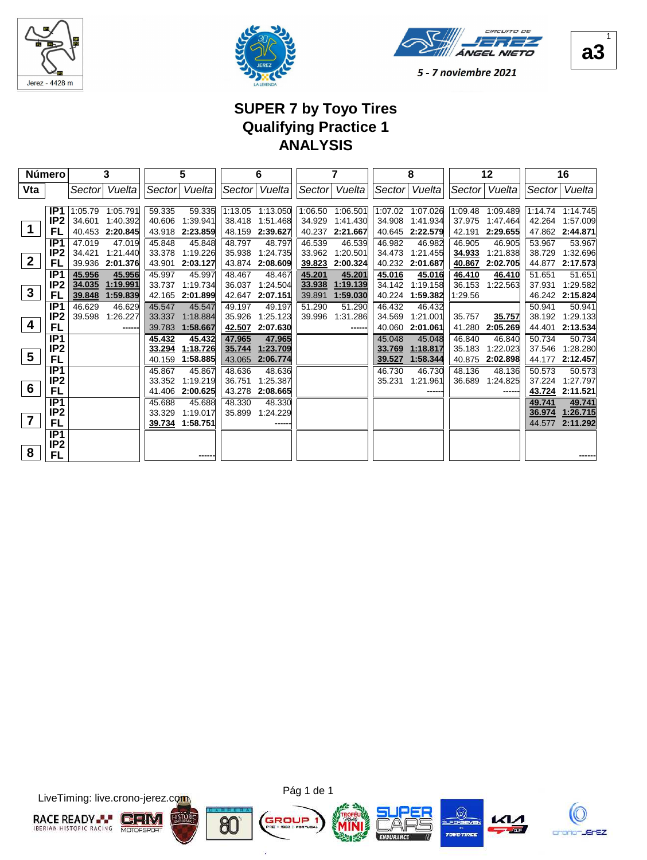





# **SUPER 7 by Toyo Tires Qualifying Practice 1 ANALYSIS**

|                  | <b>Número</b>   |         | 3        |        | 5               |        | 6                |         |          |         | 8        |         | 12       |        | 16               |
|------------------|-----------------|---------|----------|--------|-----------------|--------|------------------|---------|----------|---------|----------|---------|----------|--------|------------------|
| Vta              |                 | Sectorl | Vueltal  |        | Sector Vuelta   |        | Sector Vuelta    | Sector  | Vuelta   | Sector  | Vuelta   | Sector  | Vueltal  | Sector | Vuelta           |
|                  |                 |         |          |        |                 |        |                  |         |          |         |          |         |          |        |                  |
|                  | IP <sub>1</sub> | 1:05.79 | 1:05.791 | 59.335 | 59.335          |        | 1:13.05 1:13.050 | 1:06.50 | 1:06.501 | 1:07.02 | 1:07.026 | 1:09.48 | 1:09.489 |        | 1:14.74 1:14.745 |
|                  | IP <sub>2</sub> | 34.601  | 1:40.392 | 40.606 | 1:39.941        |        | 38.418 1:51.468  | 34.929  | 1:41.430 | 34.908  | 1:41.934 | 37.975  | 1:47.464 | 42.264 | 1:57.009         |
|                  | FL              | 40.453  | 2:20.845 | 43.918 | 2:23.859        | 48.159 | 2:39.627         | 40.237  | 2:21.667 | 40.645  | 2:22.579 | 42.191  | 2:29.655 | 47.862 | 2:44.871         |
|                  | IP <sub>1</sub> | 47.019  | 47.019   | 45.848 | 45.848          | 48.797 | 48.797           | 46.539  | 46.539   | 46.982  | 46.982   | 46.905  | 46.905   | 53.967 | 53.967           |
| $\boldsymbol{2}$ | IP <sub>2</sub> | 34.421  | 1:21.440 |        | 33.378 1:19.226 |        | 35.938 1:24.735  | 33.962  | 1:20.501 | 34.473  | 1:21.455 | 34.933  | 1:21.838 | 38.729 | 1:32.696         |
|                  | FL              | 39.936  | 2:01.376 | 43.901 | 2:03.127        | 43.874 | 2:08.609         | 39.823  | 2:00.324 | 40.232  | 2:01.687 | 40.867  | 2:02.705 | 44.877 | 2:17.573         |
|                  | IP <sub>1</sub> | 45.956  | 45.956   | 45.997 | 45.997          | 48.467 | 48.467           | 45.201  | 45.201   | 45.016  | 45.016   | 46.410  | 46.410   | 51.651 | 51.651           |
| $\mathbf{3}$     | IP <sub>2</sub> | 34.035  | 1:19.991 |        | 33.737 1:19.734 | 36.037 | 1:24.504         | 33.938  | 1:19.139 | 34.142  | 1:19.158 | 36.153  | 1:22.563 | 37.931 | 1:29.582         |
|                  | FL              | 39.848  | 1:59.839 |        | 42.165 2:01.899 | 42.647 | 2:07.151         | 39.891  | 1:59.030 | 40.224  | 1:59.382 | 1:29.56 |          | 46.242 | 2:15.824         |
|                  | IP <sub>1</sub> | 46.629  | 46.629   | 45.547 | 45.547          | 49.197 | 49.197           | 51.290  | 51.290   | 46.432  | 46.432   |         |          | 50.941 | 50.941           |
|                  | IP <sub>2</sub> | 39.598  | 1:26.227 | 33.337 | 1:18.884        | 35.926 | 1:25.123         | 39.996  | 1:31.286 | 34.569  | 1:21.001 | 35.757  | 35.757   | 38.192 | 1:29.133         |
| 4                | FL              |         | ------   | 39.783 | 1:58.667        | 42.507 | 2:07.630         |         | -----    | 40.060  | 2:01.061 | 41.280  | 2:05.269 | 44.401 | 2:13.534         |
|                  | IP1             |         |          | 45.432 | 45.432          | 47.965 | 47.965           |         |          | 45.048  | 45.048   | 46.840  | 46.840   | 50.734 | 50.734           |
|                  | IP <sub>2</sub> |         |          | 33.294 | 1:18.726        | 35.744 | 1:23.709         |         |          | 33.769  | 1:18.817 | 35.183  | 1:22.023 | 37.546 | 1:28.280         |
| 5                | FL              |         |          | 40.159 | 1:58.885        | 43.065 | 2:06.774         |         |          | 39.527  | 1:58.344 | 40.875  | 2:02.898 | 44.177 | 2:12.457         |
|                  | IP <sub>1</sub> |         |          | 45.867 | 45.867          | 48.636 | 48.636           |         |          | 46.730  | 46.730   | 48.136  | 48.136   | 50.573 | 50.573           |
|                  | IP <sub>2</sub> |         |          | 33.352 | 1:19.219        | 36.751 | 1:25.387         |         |          | 35.231  | 1:21.961 | 36.689  | 1:24.825 | 37.224 | 1:27.797         |
| $6\phantom{1}6$  | FL              |         |          |        | 41.406 2:00.625 | 43.278 | 2:08.665         |         |          |         | -----    |         | ------   | 43.724 | 2:11.521         |
|                  | IP1             |         |          | 45.688 | 45.688          | 48.330 | 48.330           |         |          |         |          |         |          | 49.741 | 49.741           |
|                  | IP <sub>2</sub> |         |          | 33.329 | 1:19.017        | 35.899 | 1:24.229         |         |          |         |          |         |          | 36.974 | 1:26.715         |
| $\overline{7}$   | FL              |         |          |        | 39.734 1:58.751 |        |                  |         |          |         |          |         |          | 44.577 | 2:11.292         |
|                  | IP1             |         |          |        |                 |        |                  |         |          |         |          |         |          |        |                  |
|                  | IP <sub>2</sub> |         |          |        |                 |        |                  |         |          |         |          |         |          |        |                  |
| 8                | FL              |         |          |        |                 |        |                  |         |          |         |          |         |          |        |                  |

LiveTiming: live.crono-jerez.com





ä

8C







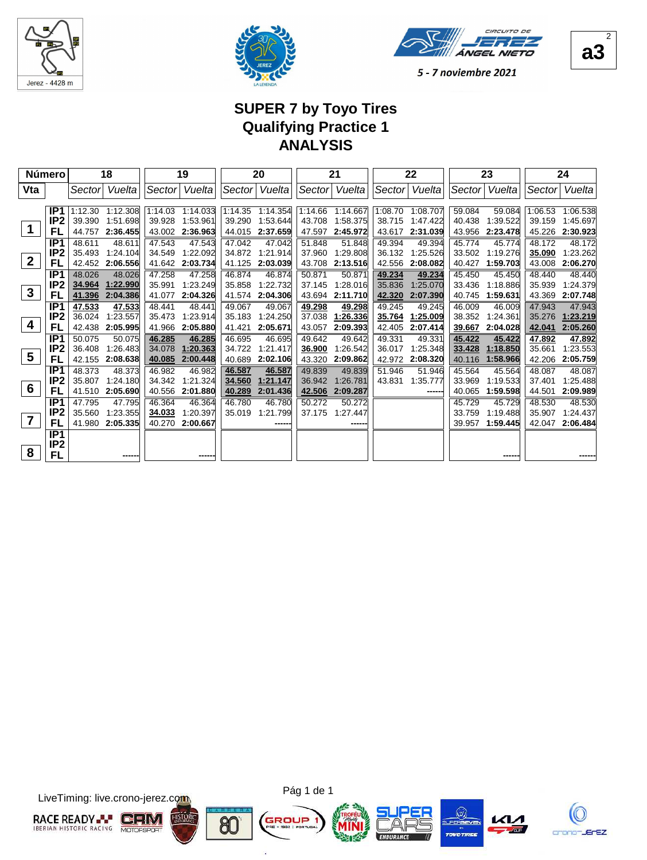





# **SUPER 7 by Toyo Tires Qualifying Practice 1 ANALYSIS**

|                         | Número          |         | 18       |        | 19               |        | 20                |         | 21       |         | 22            |        | 23       |         | 24       |
|-------------------------|-----------------|---------|----------|--------|------------------|--------|-------------------|---------|----------|---------|---------------|--------|----------|---------|----------|
| Vta                     |                 | Sector  | Vueltal  |        | Sector Vuelta    | Sector | Vuelta            | Sector  | Vuelta   |         | Sector Vuelta | Sector | Vueltal  | Sector  | Vuelta   |
|                         |                 |         |          |        |                  |        |                   |         |          |         |               |        |          |         |          |
|                         | IP <sub>1</sub> | 1:12.30 | 1:12.308 |        | 1:14.03 1:14.033 |        | 1:14.35  1:14.354 | 1:14.66 | 1:14.667 | 1:08.70 | 1:08.707      | 59.084 | 59.084   | 1:06.53 | 1:06.538 |
|                         | IP <sub>2</sub> | 39.390  | 1:51.698 | 39.928 | 1:53.961         | 39.290 | 1:53.644          | 43.708  | 1:58.375 | 38.715  | 1.47.422      | 40.438 | 1:39.522 | 39.159  | 1:45.697 |
|                         | FL              | 44.757  | 2:36.455 |        | 43.002 2:36.963  | 44.015 | 2:37.659          | 47.597  | 2:45.972 | 43.617  | 2:31.039      | 43.956 | 2:23.478 | 45.226  | 2:30.923 |
|                         | IP <sub>1</sub> | 48.611  | 48.611   | 47.543 | 47.543           | 47.042 | 47.042            | 51.848  | 51.848   | 49.394  | 49.394        | 45.774 | 45.774   | 48.172  | 48.172   |
|                         | IP <sub>2</sub> | 35.493  | 1:24.104 | 34.549 | 1:22.092         | 34.872 | 1:21.914          | 37.960  | 1:29.808 | 36.132  | 1:25.526      | 33.502 | 1:19.276 | 35.090  | 1:23.262 |
| $\boldsymbol{2}$        | FL              | 42.452  | 2:06.556 | 41.642 | 2:03.734         | 41.125 | 2:03.039          | 43.708  | 2:13.516 | 42.556  | 2:08.082      | 40.427 | 1:59.703 | 43.008  | 2:06.270 |
|                         | IP <sub>1</sub> | 48.026  | 48.026   | 47.258 | 47.258           | 46.874 | 46.874            | 50.871  | 50.871   | 49.234  | 49.234        | 45.450 | 45.450   | 48.440  | 48.440   |
|                         | IP <sub>2</sub> | 34.964  | 1:22.990 | 35.991 | 1:23.249         | 35.858 | 1:22.732          | 37.145  | 1:28.016 | 35.836  | 1:25.070      | 33.436 | 1:18.886 | 35.939  | 1:24.379 |
| $\mathbf{3}$            | FL              | 41.396  | 2:04.386 | 41.077 | 2:04.326         | 41.574 | 2:04.306          | 43.694  | 2:11.710 | 42.320  | 2:07.390      | 40.745 | 1:59.631 | 43.369  | 2:07.748 |
|                         | IP <sub>1</sub> | 47.533  | 47.533   | 48.441 | 48.441           | 49.067 | 49.067            | 49.298  | 49.298   | 49.245  | 49.245        | 46.009 | 46.009   | 47.943  | 47.943   |
|                         | IP <sub>2</sub> | 36.024  | 1:23.557 | 35.473 | 1:23.914         | 35.183 | 1:24.250          | 37.038  | 1:26.336 | 35.764  | 1:25.009      | 38.352 | 1:24.361 | 35.276  | 1:23.219 |
| $\overline{\mathbf{4}}$ | FL              | 42.438  | 2:05.995 | 41.966 | 2:05.880         | 41.421 | 2:05.671          | 43.057  | 2:09.393 | 42.405  | 2:07.414      | 39.667 | 2:04.028 | 42.041  | 2:05.260 |
|                         | IP <sub>1</sub> | 50.075  | 50.075   | 46.285 | 46.285           | 46.695 | 46.695            | 49.642  | 49.642   | 49.331  | 49.331        | 45.422 | 45.422   | 47.892  | 47.892   |
|                         | IP <sub>2</sub> | 36.408  | 1:26.483 | 34.078 | 1:20.363         | 34.722 | 1:21.417          | 36.900  | 1.26.542 | 36.017  | 1:25.348      | 33.428 | 1:18.850 | 35.661  | 1:23.553 |
| $5\phantom{1}$          | FL              | 42.155  | 2:08.638 | 40.085 | 2:00.448         | 40.689 | 2:02.106          | 43.320  | 2:09.862 | 42.972  | 2:08.320      | 40.116 | 1:58.966 | 42.206  | 2:05.759 |
|                         | IP <sub>1</sub> | 48.373  | 48.373   | 46.982 | 46.982           | 46.587 | 46.587            | 49.839  | 49.839   | 51.946  | 51.946        | 45.564 | 45.564   | 48.087  | 48.087   |
|                         | IP <sub>2</sub> | 35.807  | 1:24.180 | 34.342 | 1:21.324         | 34.560 | 1:21.147          | 36.942  | 1:26.781 | 43.831  | 1:35.777      | 33.969 | 1.19.533 | 37.401  | 1:25.488 |
| $6\phantom{1}6$         | FL              | 41.510  | 2:05.690 | 40.556 | 2:01.880         | 40.289 | 2:01.436          | 42.506  | 2:09.287 |         | ------        | 40.065 | 1:59.598 | 44.501  | 2:09.989 |
|                         | IP <sub>1</sub> | 47.795  | 47.795   | 46.364 | 46.364           | 46.780 | 46.780            | 50.272  | 50.272   |         |               | 45.729 | 45.729   | 48.530  | 48.530   |
|                         | IP <sub>2</sub> | 35.560  | 1:23.355 | 34.033 | 1:20.397         | 35.019 | 1.21.799          | 37.175  | 1:27.447 |         |               | 33.759 | 1.19.488 | 35.907  | 1:24.437 |
| $\overline{7}$          | FL              | 41.980  | 2:05.335 | 40.270 | 2:00.667         |        |                   |         |          |         |               | 39.957 | 1:59.445 | 42.047  | 2:06.484 |
|                         | IP <sub>1</sub> |         |          |        |                  |        |                   |         |          |         |               |        |          |         |          |
|                         | IP <sub>2</sub> |         |          |        |                  |        |                   |         |          |         |               |        |          |         |          |
| 8                       | FL              |         |          |        |                  |        |                   |         |          |         |               |        |          |         |          |

LiveTiming: live.crono-jerez.com











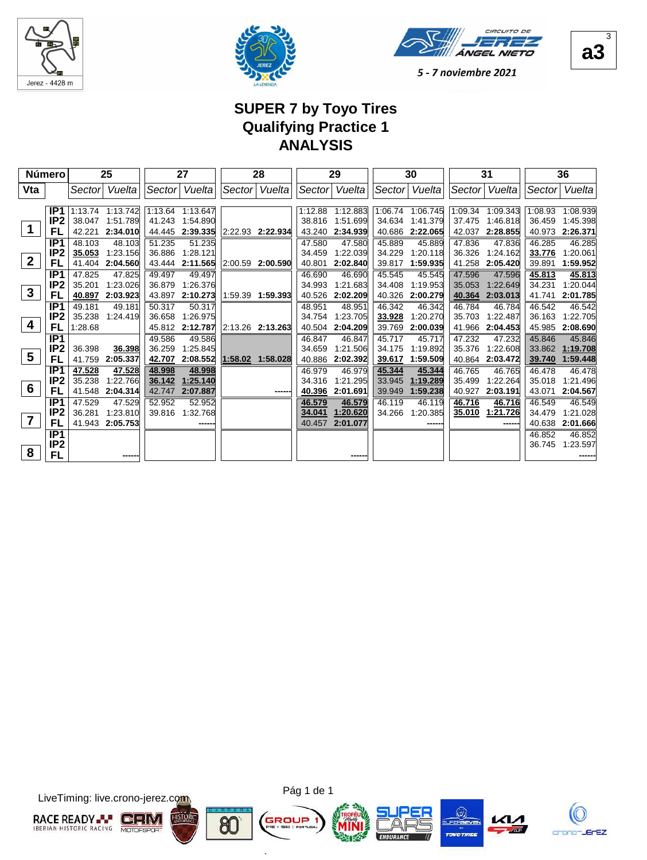





# **SUPER 7 by Toyo Tires Qualifying Practice 1 ANALYSIS**

|                  | <b>Número</b>   |         | 25               |        | 27                        | 28                        |         | 29              |         | 30            |        | 31               |         | 36            |
|------------------|-----------------|---------|------------------|--------|---------------------------|---------------------------|---------|-----------------|---------|---------------|--------|------------------|---------|---------------|
| Vta              |                 |         | Sector Vuelta    |        | Sector Vuelta             | Sector Vuelta             |         | Sector Vuelta   |         | Sector Vuelta |        | Sectorl Vueltal  |         | Sector Vuelta |
|                  |                 |         |                  |        |                           |                           |         |                 |         |               |        |                  |         |               |
|                  | IP <sub>1</sub> |         | 1:13.74 1:13.742 |        | 1:13.64 1:13.647          |                           | 1:12.88 | 1:12.883        | 1:06.74 | 1:06.745      |        | 1:09.34 1:09.343 | 1:08.93 | 1:08.939      |
|                  | IP2             |         | 38.047 1:51.789  |        | 41.243 1:54.890           |                           |         | 38.816 1:51.699 | 34.634  | 1:41.379      | 37.475 | 1:46.818         | 36.459  | 1:45.398      |
| $\mathbf 1$      | FL              | 42.221  | 2:34.010         | 44.445 | 2:39.335 2:22.93 2:22.934 |                           | 43.240  | 2:34.939        | 40.686  | 2:22.065      | 42.037 | 2:28.855         | 40.973  | 2:26.371      |
|                  | IP <sub>1</sub> | 48.103  | 48.103           | 51.235 | 51.235                    |                           | 47.580  | 47.580          | 45.889  | 45.889        | 47.836 | 47.836           | 46.285  | 46.285        |
|                  | IP <sub>2</sub> | 35.053  | 1:23.156         | 36.886 | 1:28.121                  |                           | 34.459  | 1:22.039        | 34.229  | 1:20.118      | 36.326 | 1:24.162         | 33.776  | 1:20.061      |
| $\boldsymbol{2}$ | FL              | 41.404  | 2:04.560         |        | 43.444 2:11.565           | $ 2:00.59$ 2:00.590       | 40.801  | 2:02.840        | 39.817  | 1:59.935      | 41.258 | 2:05.420         | 39.891  | 1:59.952      |
|                  | IP <sub>1</sub> | 47.825  | 47.825           | 49.497 | 49.497                    |                           | 46.690  | 46.690          | 45.545  | 45.545        | 47.596 | 47.596           | 45.813  | 45.813        |
|                  | IP <sub>2</sub> | 35.201  | 1:23.026         | 36.879 | 1:26.376                  |                           | 34.993  | 1:21.683        | 34.408  | 1:19.953      | 35.053 | 1:22.649         | 34.231  | 1:20.044      |
| $\mathbf{3}$     | FL              | 40.897  | 2:03.923         | 43.897 |                           | 2:10.273 1:59.39 1:59.393 | 40.526  | 2:02.209        | 40.326  | 2:00.279      | 40.364 | 2:03.013         | 41.741  | 2:01.785      |
|                  | IP <sub>1</sub> | 49.181  | 49.181           | 50.317 | 50.317                    |                           | 48.951  | 48.951          | 46.342  | 46.342        | 46.784 | 46.784           | 46.542  | 46.542        |
|                  | IP <sub>2</sub> | 35.238  | 1:24.419         | 36.658 | 1:26.975                  |                           | 34.754  | 1:23.705        | 33.928  | 1:20.270      | 35.703 | 1:22.487         | 36.163  | 1:22.705      |
| 4                | FL              | 1:28.68 |                  |        | 45.812 2:12.787           | $ 2:13.26$ 2:13.263       | 40.504  | 2:04.209        | 39.769  | 2:00.039      | 41.966 | 2:04.453         | 45.985  | 2:08.690      |
|                  | IP1             |         |                  | 49.586 | 49.586                    |                           | 46.847  | 46.847          | 45.717  | 45.717        | 47.232 | 47.232           | 45.846  | 45.846        |
|                  | IP <sub>2</sub> | 36.398  | 36.398           | 36.259 | 1:25.845                  |                           | 34.659  | 1:21.506        | 34.175  | 1:19.892      | 35.376 | 1:22.608         | 33.862  | 1:19.708      |
| $5\phantom{1}$   | FL              | 41.759  | 2:05.337         | 42.707 | 2:08.552 1:58.02 1:58.028 |                           | 40.886  | 2:02.392        | 39.617  | 1:59.509      | 40.864 | 2:03.472         | 39.740  | 1:59.448      |
|                  | IP <sub>1</sub> | 47.528  | 47.528           | 48.998 | 48.998                    |                           | 46.979  | 46.979          | 45.344  | 45.344        | 46.765 | 46.765           | 46.478  | 46.478        |
|                  | IP <sub>2</sub> | 35.238  | 1:22.766         | 36.142 | 1:25.140                  |                           | 34.316  | 1:21.295        | 33.945  | 1:19.289      | 35.499 | 1:22.264         | 35.018  | 1:21.496      |
| $6\phantom{1}6$  | FL              | 41.548  | 2:04.314         | 42.747 | 2:07.887                  |                           | 40.396  | 2:01.691        | 39.949  | 1:59.238      | 40.927 | 2:03.191         | 43.071  | 2:04.567      |
|                  | IP <sub>1</sub> | 47.529  | 47.529           | 52.952 | 52.952                    |                           | 46.579  | 46.579          | 46.119  | 46.119        | 46.716 | 46.716           | 46.549  | 46.549        |
|                  | IP <sub>2</sub> | 36.281  | 1:23.810         | 39.816 | 1:32.768                  |                           | 34.041  | 1:20.620        | 34.266  | 1:20.385      | 35.010 | 1:21.726         | 34.479  | 1:21.028      |
| $\overline{7}$   | FL              |         | 41.943 2:05.753  |        |                           |                           | 40.457  | 2:01.077        |         |               |        |                  | 40.638  | 2:01.666      |
|                  | IP1             |         |                  |        |                           |                           |         |                 |         |               |        |                  | 46.852  | 46.852        |
|                  | IP <sub>2</sub> |         |                  |        |                           |                           |         |                 |         |               |        |                  | 36.745  | 1:23.597      |
| 8                | FL              |         | -----            |        |                           |                           |         |                 |         |               |        |                  |         |               |

LiveTiming: live.crono-jerez.com



ä

8C







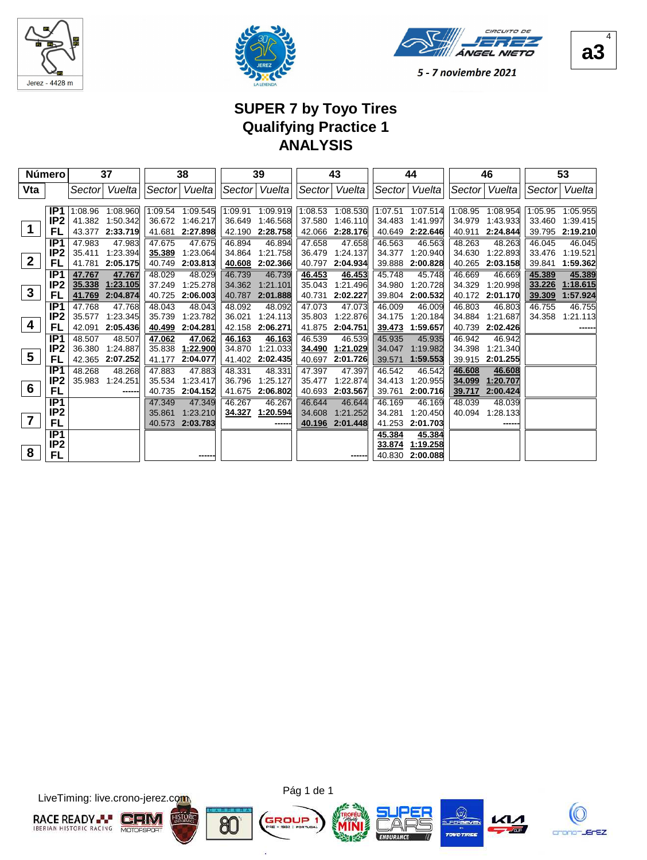





# **SUPER 7 by Toyo Tires Qualifying Practice 1 ANALYSIS**

|                  | <b>Número</b>   |         | 37              |        | 38               |        | 39               |        | 43                                |        | 44              |        | 46               |        | 53               |
|------------------|-----------------|---------|-----------------|--------|------------------|--------|------------------|--------|-----------------------------------|--------|-----------------|--------|------------------|--------|------------------|
| Vta              |                 | Sector  | Vueltal         |        | Sector Vuelta    |        | Sector Vuelta    |        | Sector Vuelta                     |        | Sector Vuelta   |        | ∣Sector∣ VueltaI | Sector | Vuelta           |
|                  |                 |         |                 |        |                  |        |                  |        |                                   |        |                 |        |                  |        |                  |
|                  | IP1             | 1:08.96 | 1:08.960        |        | 1:09.54 1:09.545 |        | 1:09.91 1:09.919 |        | 1:08.53 1:08.530 1:07.51 1:07.514 |        |                 |        | 1:08.95 1:08.954 |        | 1:05.95 1:05.955 |
|                  | IP <sub>2</sub> |         | 41.382 1:50.342 |        | 36.672 1:46.217  | 36.649 | 1:46.568         | 37.580 | 1:46.110                          | 34.483 | 1:41.997        | 34.979 | 1.43.933         | 33.460 | 1:39.415         |
| $\mathbf 1$      | FL              |         | 43.377 2:33.719 |        | 41.681 2:27.898  | 42.190 | 2:28.758         | 42.066 | 2:28.176                          | 40.649 | 2:22.646        | 40.911 | 2:24.844         | 39.795 | 2:19.210         |
|                  | IP <sub>1</sub> | 47.983  | 47.983          | 47.675 | 47.675           | 46.894 | 46.894           | 47.658 | 47.658                            | 46.563 | 46.563          | 48.263 | 48.263           | 46.045 | 46.045           |
|                  | IP <sub>2</sub> | 35.411  | 1:23.394        | 35.389 | 1:23.064         | 34.864 | 1:21.758         | 36.479 | 1:24.137                          | 34.377 | 1:20.940        | 34.630 | 1:22.893         | 33.476 | 1:19.521         |
| $\boldsymbol{2}$ | FL              | 41.781  | 2:05.175        | 40.749 | 2:03.813         | 40.608 | 2:02.366         | 40.797 | 2:04.934                          | 39.888 | 2:00.828        | 40.265 | 2:03.158         | 39.841 | 1:59.362         |
|                  | IP <sub>1</sub> | 47.767  | 47.767          | 48.029 | 48.029           | 46.739 | 46.739           | 46.453 | 46.453                            | 45.748 | 45.748          | 46.669 | 46.669           | 45.389 | 45.389           |
|                  | IP <sub>2</sub> |         | 35.338 1:23.105 | 37.249 | 1:25.278         | 34.362 | 1:21.101         | 35.043 | 1:21.496                          | 34.980 | 1:20.728        | 34.329 | 1:20.998         | 33.226 | 1:18.615         |
| $\mathbf{3}$     | FL              | 41.769  | 2:04.874        | 40.725 | 2:06.003         | 40.787 | 2:01.888         | 40.731 | 2:02.227                          | 39.804 | 2:00.532        | 40.172 | 2:01.170         | 39.309 | 1:57.924         |
|                  | IP <sub>1</sub> | 47.768  | 47.768          | 48.043 | 48.043           | 48.092 | 48.092           | 47.073 | 47.073                            | 46.009 | 46.009          | 46.803 | 46.803           | 46.755 | 46.755           |
|                  | IP <sub>2</sub> | 35.577  | 1:23.345        | 35.739 | 1:23.782         | 36.021 | 1:24.113         | 35.803 | 1:22.876                          | 34.175 | 1:20.184        | 34.884 | 1:21.687         | 34.358 | 1:21.113         |
| 4                | FL              | 42.091  | 2:05.436        | 40.499 | 2:04.281         | 42.158 | 2:06.271         | 41.875 | 2:04.751                          | 39.473 | 1:59.657        | 40.739 | 2:02.426         |        |                  |
|                  | IP <sub>1</sub> | 48.507  | 48.507          | 47.062 | 47.062           | 46.163 | 46.163           | 46.539 | 46.539                            | 45.935 | 45.935          | 46.942 | 46.942           |        |                  |
|                  | IP <sub>2</sub> | 36.380  | 1:24.887        | 35.838 | 1:22.900         | 34.870 | 1:21.033         | 34.490 | 1:21.029                          | 34.047 | 1:19.982        | 34.398 | 1:21.340         |        |                  |
| $5\phantom{1}$   | FL              | 42.365  | 2:07.252        | 41.177 | 2:04.077         | 41.402 | 2:02.435         | 40.697 | 2:01.726                          | 39.571 | 1:59.553        | 39.915 | 2:01.255         |        |                  |
|                  | IP <sub>1</sub> | 48.268  | 48.268          | 47.883 | 47.883           | 48.331 | 48.331           | 47.397 | 47.397                            | 46.542 | 46.542          | 46.608 | 46.608           |        |                  |
|                  | IP <sub>2</sub> | 35.983  | 1:24.251        | 35.534 | 1:23.417         | 36.796 | 1:25.127         | 35.477 | 1:22.874                          | 34.413 | 1:20.955        | 34.099 | 1:20.707         |        |                  |
| 6                | FL              |         | ------          |        | 40.735 2:04.152  | 41.675 | 2:06.802         | 40.693 | 2:03.567                          | 39.761 | 2:00.716        | 39.717 | 2:00.424         |        |                  |
|                  | IP <sub>1</sub> |         |                 | 47.349 | 47.349           | 46.267 | 46.267           | 46.644 | 46.644                            | 46.169 | 46.169          | 48.039 | 48.039           |        |                  |
|                  | IP <sub>2</sub> |         |                 | 35.861 | 1:23.210         | 34.327 | 1:20.594         | 34.608 | 1:21.252                          | 34.281 | 1:20.450        | 40.094 | 1:28.133         |        |                  |
|                  | FL              |         |                 |        | 40.573 2:03.783  |        | -----            | 40.196 | 2:01.448                          | 41.253 | 2:01.703        |        |                  |        |                  |
|                  | IP <sub>1</sub> |         |                 |        |                  |        |                  |        |                                   | 45.384 | 45.384          |        |                  |        |                  |
|                  | IP <sub>2</sub> |         |                 |        |                  |        |                  |        |                                   | 33.874 | <u>1:19.258</u> |        |                  |        |                  |
| 8                | FL              |         |                 |        |                  |        |                  |        |                                   | 40.830 | 2:00.088        |        |                  |        |                  |

LiveTiming: live.crono-jerez.com





ä







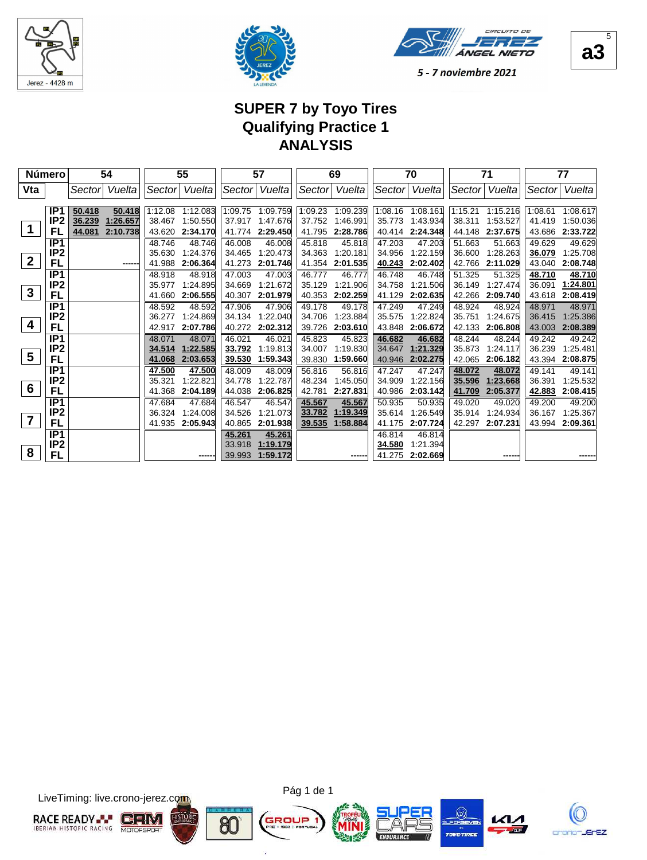





### **SUPER 7 by Toyo Tires Qualifying Practice 1 ANALYSIS**

|                         | <b>Número</b>                      |         | 54       |                  | 55                   |                  | 57                 |                  | 69                   |                  | 70                   |                  | 71                   |                  | 77                   |
|-------------------------|------------------------------------|---------|----------|------------------|----------------------|------------------|--------------------|------------------|----------------------|------------------|----------------------|------------------|----------------------|------------------|----------------------|
| Vta                     |                                    | Sectorl | Vuelta   | Sector           | Vuelta               | Sector           | Vuelta             | Sector           | Vuelta               |                  | Sector   Vuelta      | Sector           | Vueltal              | Sector           | Vuelta               |
|                         |                                    |         |          |                  |                      |                  |                    |                  |                      |                  |                      |                  |                      |                  |                      |
|                         | IP <sub>1</sub>                    | 50.418  | 50.418   | 1:12.08          | 1:12.083             | 1:09.75          | 1:09.759           | 1:09.23          | 1:09.239             | 1:08.16          | 1:08.161             | 1:15.21          | 1:15.216             | 1:08.61          | 1:08.617             |
|                         | IP <sub>2</sub>                    | 36.239  | 1:26.657 | 38.467           | 1:50.550             | 37.917           | 1:47.676           | 37.752           | 1:46.991             | 35.773           | 1:43.934             | 38.311           | 1:53.527             | 41.419           | 1:50.036             |
|                         | FL                                 | 44.081  | 2:10.738 | 43.620           | 2:34.170             | 41.774           | 2:29.450           | 41.795           | 2:28.786             | 40.414           | 2:24.348             | 44.148           | 2:37.675             | 43.686           | 2:33.722             |
|                         | IP <sub>1</sub>                    |         |          | 48.746           | 48.746               | 46.008           | 46.008             | 45.818           | 45.818               | 47.203           | 47.203               | 51.663           | 51.663               | 49.629           | 49.629               |
| $\boldsymbol{2}$        | IP <sub>2</sub>                    |         |          | 35.630           | 1:24.376             | 34.465           | 1:20.473           | 34.363           | 1:20.181             | 34.956           | 1:22.159             | 36.600           | 1:28.263             | 36.079           | 1:25.708             |
|                         | FL                                 |         | -----    | 41.988           | 2:06.364             | 41.273           | 2:01.746           | 41.354           | 2:01.535             | 40.243           | 2:02.402             | 42.766           | 2:11.029             | 43.040           | 2:08.748             |
|                         | IP1                                |         |          | 48.918           | 48.918               | 47.003           | 47.003             | 46.777           | 46.777               | 46.748           | 46.748               | 51.325           | 51.325               | 48.710           | 48.710               |
| $\mathbf{3}$            | IP <sub>2</sub>                    |         |          | 35.977           | 1:24.895             | 34.669           | 1:21.672           | 35.129           | 1:21.906             | 34.758           | 1:21.506             | 36.149           | 1:27.474             | 36.091           | 1:24.801             |
|                         | FL                                 |         |          | 41.660           | 2:06.555             | 40.307           | 2:01.979           | 40.353           | 2:02.259             | 41.129           | 2:02.635             | 42.266           | 2:09.740             | 43.618           | 2:08.419             |
|                         | IP1                                |         |          | 48.592           | 48.592               | 47.906           | 47.906             | 49.178           | 49.178               | 47.249           | 47.249               | 48.924           | 48.924               | 48.971           | 48.971               |
| 4                       | IP <sub>2</sub>                    |         |          | 36.277           | 1:24.869             | 34.134           | 1:22.040           | 34.706           | 1:23.884             | 35.575           | 1:22.824             | 35.751           | 1:24.675             | 36.415           | 1:25.386             |
|                         | FL                                 |         |          | 42.917           | 2:07.786             | 40.272           | 2:02.312           | 39.726           | 2:03.610             | 43.848           | 2:06.672             | 42.133           | 2:06.808             | 43.003           | 2:08.389             |
|                         | IP <sub>1</sub><br>IP <sub>2</sub> |         |          | 48.071           | 48.071               | 46.021           | 46.021<br>1.19.813 | 45.823           | 45.823               | 46.682           | 46.682               | 48.244           | 48.244               | 49.242           | 49.242               |
| $\overline{\mathbf{5}}$ |                                    |         |          | 34.514           | 1:22.585<br>2:03.653 | 33.792           |                    | 34.007           | 1:19.830<br>1:59.660 | 34.647           | 1:21.329<br>2:02.275 | 35.873<br>42.065 | 1:24.117<br>2:06.182 | 36.239           | 1:25.481<br>2:08.875 |
|                         | FL                                 |         |          | 41.068           |                      | 39.530           | 1:59.343           | 39.830           |                      | 40.946           |                      |                  |                      | 43.394           |                      |
|                         | IP <sub>1</sub><br>IP <sub>2</sub> |         |          | 47.500           | 47.500<br>1:22.821   | 48.009           | 48.009<br>1:22.787 | 56.816           | 56.816               | 47.247           | 47.247<br>1:22.156   | 48.072<br>35.596 | 48.072<br>1:23.668   | 49.141           | 49.141<br>1:25.532   |
| $6\phantom{1}6$         | FL                                 |         |          | 35.321<br>41.368 | 2:04.189             | 34.778<br>44.038 | 2:06.825           | 48.234<br>42.781 | 1:45.050<br>2:27.831 | 34.909<br>40.986 | 2:03.142             | 41.709           | 2:05.377             | 36.391<br>42.883 | 2:08.415             |
|                         | IP1                                |         |          |                  | 47.684               | 46.547           | 46.547             |                  |                      | 50.935           |                      | 49.020           | 49.020               | 49.200           | 49.200               |
|                         | IP2                                |         |          | 47.684<br>36.324 | 1:24.008             | 34.526           | 1:21.073           | 45.567<br>33.782 | 45.567<br>1:19.349   | 35.614           | 50.935<br>1.26.549   | 35.914           | 1:24.934             | 36.167           | 1:25.367             |
| $\overline{7}$          |                                    |         |          | 41.935           | 2:05.943             | 40.865           |                    |                  | 1:58.884             | 41.175           | 2:07.724             | 42.297           | 2:07.231             | 43.994           | 2:09.361             |
|                         | FL                                 |         |          |                  |                      |                  | 2:01.938           | 39.535           |                      |                  |                      |                  |                      |                  |                      |
|                         | IP <sub>1</sub><br>IP2             |         |          |                  |                      | 45.261           | 45.261             |                  |                      | 46.814           | 46.814               |                  |                      |                  |                      |
| 8                       |                                    |         |          |                  |                      | 33.918           | 1:19.179           |                  |                      | 34.580           | 1:21.394             |                  |                      |                  |                      |
|                         | FL                                 |         |          |                  |                      | 39.993           | 1:59.172           |                  |                      | 41.275           | 2:02.669             |                  |                      |                  |                      |

LiveTiming: live.crono-jerez.com



ä

8C





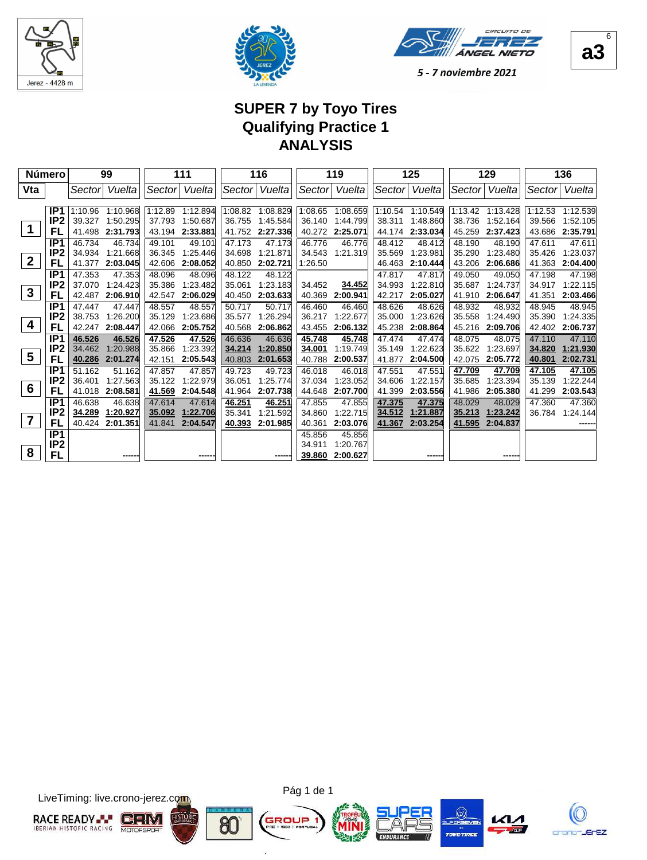





# **SUPER 7 by Toyo Tires Qualifying Practice 1 ANALYSIS**

|                         | <b>Número</b>   |         | 99       |         | 111             |         | 116           |         | 119      |         | 125           |         | 129      |         | 136      |
|-------------------------|-----------------|---------|----------|---------|-----------------|---------|---------------|---------|----------|---------|---------------|---------|----------|---------|----------|
| Vta                     |                 | Sectorl | Vuelta   |         | Sector   Vuelta |         | Sector Vuelta | Sector  | Vuelta   |         | Sector Vuelta | Sector  | Vuelta   | Sector  | Vuelta   |
|                         |                 |         |          |         |                 |         |               |         |          |         |               |         |          |         |          |
|                         | IP <sub>1</sub> | 1:10.96 | 1:10.968 | 1:12.89 | 1:12.894        | 1:08.82 | 1:08.829      | 1:08.65 | 1:08.659 | 1:10.54 | 1:10.549      | 1:13.42 | 1:13.428 | 1:12.53 | 1:12.539 |
|                         | IP <sub>2</sub> | 39.327  | 1:50.295 | 37.793  | 1:50.687        | 36.755  | 1:45.584      | 36.140  | 1:44.799 | 38.311  | 1:48.860      | 38.736  | 1:52.164 | 39.566  | 1:52.105 |
|                         | FL              | 41.498  | 2:31.793 | 43.194  | 2:33.881        | 41.752  | 2:27.336      | 40.272  | 2:25.071 | 44.174  | 2:33.034      | 45.259  | 2:37.423 | 43.686  | 2:35.791 |
|                         | IP <sub>1</sub> | 46.734  | 46.734   | 49.101  | 49.101          | 47.173  | 47.173        | 46.776  | 46.776   | 48.412  | 48.412        | 48.190  | 48.190   | 47.611  | 47.611   |
|                         | IP <sub>2</sub> | 34.934  | 1:21.668 | 36.345  | 1.25.446        | 34.698  | 1:21.871      | 34.543  | 1:21.319 | 35.569  | 1:23.981      | 35.290  | 1:23.480 | 35.426  | 1:23.037 |
| $\boldsymbol{2}$        | FL              | 41.377  | 2:03.045 | 42.606  | 2:08.052        | 40.850  | 2:02.721      | 1:26.50 |          | 46.463  | 2:10.444      | 43.206  | 2:06.686 | 41.363  | 2:04.400 |
|                         | IP <sub>1</sub> | 47.353  | 47.353   | 48.096  | 48.096          | 48.122  | 48.122        |         |          | 47.817  | 47.817        | 49.050  | 49.050   | 47.198  | 47.198   |
|                         | IP <sub>2</sub> | 37.070  | 1:24.423 | 35.386  | 1:23.482        | 35.061  | 1:23.183      | 34.452  | 34.452   | 34.993  | 1:22.810      | 35.687  | 1:24.737 | 34.917  | 1:22.115 |
| $\mathbf{3}$            | FL              | 42.487  | 2:06.910 | 42.547  | 2:06.029        | 40.450  | 2:03.633      | 40.369  | 2:00.941 | 42.217  | 2:05.027      | 41.910  | 2:06.647 | 41.351  | 2:03.466 |
|                         | IP <sub>1</sub> | 47.447  | 47.447   | 48.557  | 48.557          | 50.717  | 50.717        | 46.460  | 46.460   | 48.626  | 48.626        | 48.932  | 48.932   | 48.945  | 48.945   |
|                         | IP <sub>2</sub> | 38.753  | 1:26.200 | 35.129  | 1:23.686        | 35.577  | 1:26.294      | 36.217  | 1:22.677 | 35.000  | 1:23.626      | 35.558  | 1:24.490 | 35.390  | 1:24.335 |
| 4                       | FL              | 42.247  | 2:08.447 | 42.066  | 2:05.752        | 40.568  | 2:06.862      | 43.455  | 2:06.132 | 45.238  | 2:08.864      | 45.216  | 2:09.706 | 42.402  | 2:06.737 |
|                         | IP <sub>1</sub> | 46.526  | 46.526   | 47.526  | 47.526          | 46.636  | 46.636        | 45.748  | 45.748   | 47.474  | 47.474        | 48.075  | 48.075   | 47.110  | 47.110   |
|                         | IP <sub>2</sub> | 34.462  | 1:20.988 | 35.866  | 1:23.392        | 34.214  | 1:20.850      | 34.001  | 1:19.749 | 35.149  | 1:22.623      | 35.622  | 1:23.697 | 34.820  | 1:21.930 |
| $\overline{\mathbf{5}}$ | FL              | 40.286  | 2:01.274 | 42.151  | 2:05.543        | 40.803  | 2:01.653      | 40.788  | 2:00.537 | 41.877  | 2:04.500      | 42.075  | 2:05.772 | 40.801  | 2:02.731 |
|                         | IP <sub>1</sub> | 51.162  | 51.162   | 47.857  | 47.857          | 49.723  | 49.723        | 46.018  | 46.018   | 47.551  | 47.551        | 47.709  | 47.709   | 47.105  | 47.105   |
|                         | IP <sub>2</sub> | 36.401  | 1:27.563 | 35.122  | 1:22.979        | 36.051  | 1:25.774      | 37.034  | 1:23.052 | 34.606  | 1:22.157      | 35.685  | 1:23.394 | 35.139  | 1:22.244 |
| 6                       | FL              | 41.018  | 2:08.581 | 41.569  | 2:04.548        | 41.964  | 2:07.738      | 44.648  | 2:07.700 | 41.399  | 2:03.556      | 41.986  | 2:05.380 | 41.299  | 2:03.543 |
|                         | IP <sub>1</sub> | 46.638  | 46.638   | 47.614  | 47.614          | 46.251  | 46.251        | 47.855  | 47.855   | 47.375  | 47.375        | 48.029  | 48.029   | 47.360  | 47.360   |
|                         | IP <sub>2</sub> | 34.289  | 1:20.927 | 35.092  | 1:22.706        | 35.341  | 1.21.592      | 34.860  | 1:22.715 | 34.512  | 1:21.887      | 35.213  | 1:23.242 | 36.784  | 1.24.144 |
| $\overline{7}$          | FL              | 40.424  | 2:01.351 | 41.841  | 2:04.547        | 40.393  | 2:01.985      | 40.361  | 2:03.076 | 41.367  | 2:03.254      | 41.595  | 2:04.837 |         |          |
|                         | IP <sub>1</sub> |         |          |         |                 |         |               | 45.856  | 45.856   |         |               |         |          |         |          |
|                         | IP <sub>2</sub> |         |          |         |                 |         |               | 34.911  | 1:20.767 |         |               |         |          |         |          |
| 8                       | FL              |         | -----    |         |                 |         |               | 39.860  | 2:00.627 |         | -----         |         | ----     |         |          |

LiveTiming: live.crono-jerez.com



ä

8C







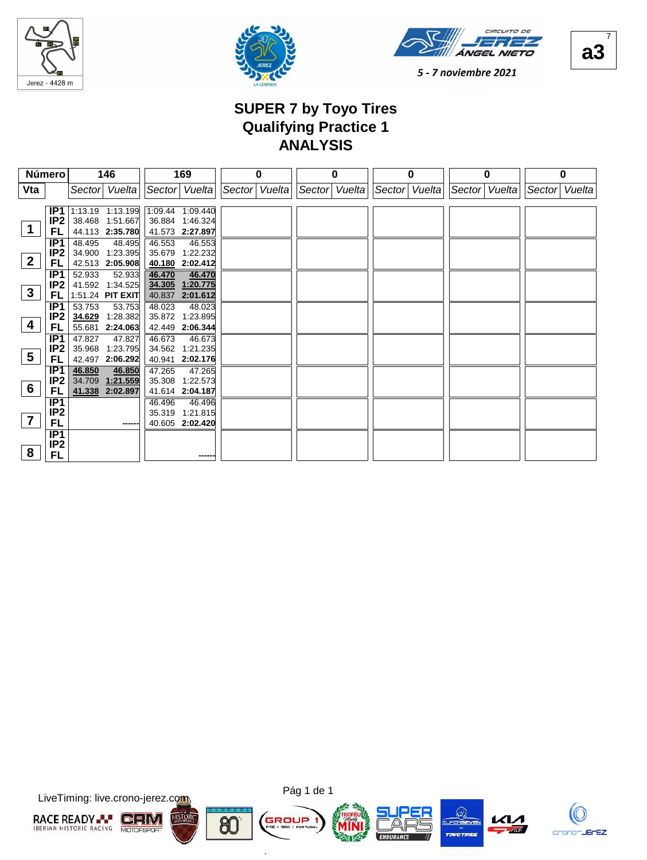





# **SUPER 7 by Toyo Tires Qualifying Practice 1 ANALYSIS**

|                | <b>Número</b>   |        | 146              |        | 169              | 0             | 0             | $\bf{0}$      |               | $\bf{0}$ |        | 0      |
|----------------|-----------------|--------|------------------|--------|------------------|---------------|---------------|---------------|---------------|----------|--------|--------|
| Vta            |                 | Sector | Vuelta           |        | Sector Vuelta    | Sector Vuelta | Sector Vuelta | Sector Vuelta | Sector Vuelta |          | Sector | Vuelta |
|                |                 |        |                  |        |                  |               |               |               |               |          |        |        |
|                | IP1             |        | 1:13.19 1:13.199 |        | 1:09.44 1:09.440 |               |               |               |               |          |        |        |
|                | IP <sub>2</sub> |        | 38.468 1:51.667  |        | 36.884 1:46.324  |               |               |               |               |          |        |        |
|                | FL              |        | 44.113 2:35.780  |        | 41.573 2:27.897  |               |               |               |               |          |        |        |
|                | IP1             | 48.495 | 48.495           | 46.553 | 46.553           |               |               |               |               |          |        |        |
| $\overline{2}$ | IP <sub>2</sub> | 34.900 | 1:23.395         |        | 35.679 1:22.232  |               |               |               |               |          |        |        |
|                | FL              |        | 42.513 2:05.908  |        | 40.180 2:02.412  |               |               |               |               |          |        |        |
|                | IP1             | 52.933 | 52.933           | 46.470 | 46.470           |               |               |               |               |          |        |        |
| $\mathbf{3}$   | IP <sub>2</sub> |        | 41.592 1:34.525  |        | 34.305 1:20.775  |               |               |               |               |          |        |        |
|                | FL              |        | 1:51.24 PIT EXIT |        | 40.837 2:01.612  |               |               |               |               |          |        |        |
|                | IP1             | 53.753 | 53.753           | 48.023 | 48.023           |               |               |               |               |          |        |        |
| 4              | IP <sub>2</sub> | 34.629 | 1:28.382         |        | 35.872 1:23.895  |               |               |               |               |          |        |        |
|                | FL              |        | 55.681 2:24.063  |        | 42.449 2:06.344  |               |               |               |               |          |        |        |
|                | IP1             | 47.827 | 47.827           | 46.673 | 46.673           |               |               |               |               |          |        |        |
| 5              | IP2             | 35.968 | 1:23.795         |        | 34.562 1:21.235  |               |               |               |               |          |        |        |
|                | FL              |        | 42.497 2:06.292  |        | 40.941 2:02.176  |               |               |               |               |          |        |        |
|                | IP1             | 46.850 | 46.850           | 47.265 | 47.265           |               |               |               |               |          |        |        |
| $6\phantom{1}$ | IP <sub>2</sub> |        | 34.709 1:21.559  |        | 35.308 1:22.573  |               |               |               |               |          |        |        |
|                | FL              |        | 41.338 2:02.897  |        | 41.614 2:04.187  |               |               |               |               |          |        |        |
|                | IP1             |        |                  | 46.496 | 46.496           |               |               |               |               |          |        |        |
|                | IP <sub>2</sub> |        |                  |        | 35.319 1:21.815  |               |               |               |               |          |        |        |
|                | FL              |        |                  |        | 40.605 2:02.420  |               |               |               |               |          |        |        |
|                | IP <sub>1</sub> |        |                  |        |                  |               |               |               |               |          |        |        |
| 8              | IP <sub>2</sub> |        |                  |        |                  |               |               |               |               |          |        |        |
|                | <b>FL</b>       |        |                  |        |                  |               |               |               |               |          |        |        |

LiveTiming: live.crono-jerez.com





ä

8C







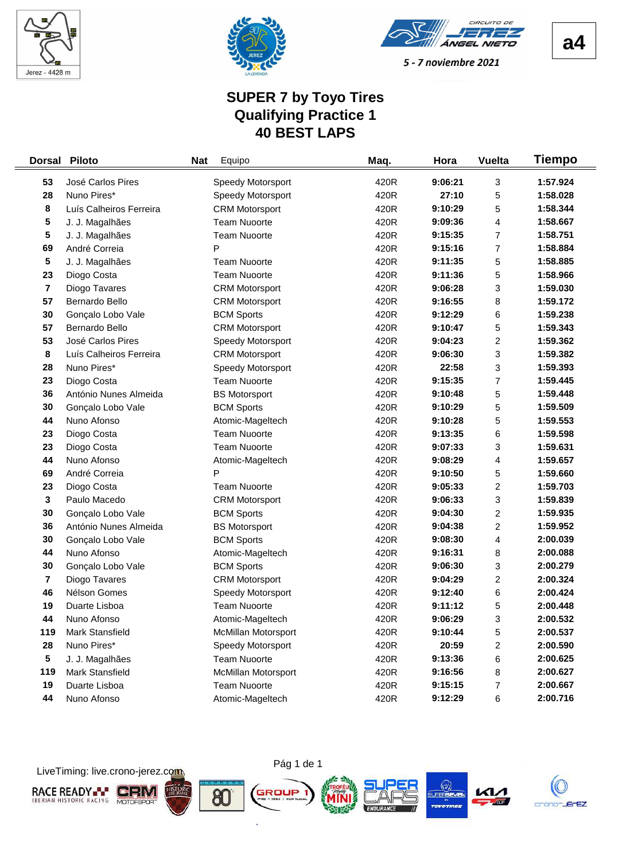



CIRCUITO DE ÁNGEL NIETO

5 - 7 noviembre 2021

# **SUPER 7 by Toyo Tires Qualifying Practice 1 40 BEST LAPS**

| <b>Dorsal</b> | <b>Piloto</b>           | Equipo<br><b>Nat</b>  | Maq. | Hora    | <b>Vuelta</b>           | Tiempo   |
|---------------|-------------------------|-----------------------|------|---------|-------------------------|----------|
| 53            | José Carlos Pires       | Speedy Motorsport     | 420R | 9:06:21 | 3                       | 1:57.924 |
| 28            | Nuno Pires*             | Speedy Motorsport     | 420R | 27:10   | 5                       | 1:58.028 |
| 8             | Luís Calheiros Ferreira | <b>CRM Motorsport</b> | 420R | 9:10:29 | 5                       | 1:58.344 |
| 5             | J. J. Magalhães         | <b>Team Nuoorte</b>   | 420R | 9:09:36 | 4                       | 1:58.667 |
| 5             | J. J. Magalhães         | <b>Team Nuoorte</b>   | 420R | 9:15:35 | 7                       | 1:58.751 |
| 69            | André Correia           | P                     | 420R | 9:15:16 | 7                       | 1:58.884 |
| 5             | J. J. Magalhães         | <b>Team Nuoorte</b>   | 420R | 9:11:35 | 5                       | 1:58.885 |
| 23            | Diogo Costa             | <b>Team Nuoorte</b>   | 420R | 9:11:36 | 5                       | 1:58.966 |
| 7             | Diogo Tavares           | <b>CRM Motorsport</b> | 420R | 9:06:28 | 3                       | 1:59.030 |
| 57            | Bernardo Bello          | <b>CRM Motorsport</b> | 420R | 9:16:55 | 8                       | 1:59.172 |
| 30            | Gonçalo Lobo Vale       | <b>BCM Sports</b>     | 420R | 9:12:29 | 6                       | 1:59.238 |
| 57            | Bernardo Bello          | <b>CRM Motorsport</b> | 420R | 9:10:47 | 5                       | 1:59.343 |
| 53            | José Carlos Pires       | Speedy Motorsport     | 420R | 9:04:23 | 2                       | 1:59.362 |
| 8             | Luís Calheiros Ferreira | <b>CRM Motorsport</b> | 420R | 9:06:30 | 3                       | 1:59.382 |
| 28            | Nuno Pires*             | Speedy Motorsport     | 420R | 22:58   | 3                       | 1:59.393 |
| 23            | Diogo Costa             | <b>Team Nuoorte</b>   | 420R | 9:15:35 | 7                       | 1:59.445 |
| 36            | António Nunes Almeida   | <b>BS Motorsport</b>  | 420R | 9:10:48 | 5                       | 1:59.448 |
| 30            | Gonçalo Lobo Vale       | <b>BCM Sports</b>     | 420R | 9:10:29 | 5                       | 1:59.509 |
| 44            | Nuno Afonso             | Atomic-Mageltech      | 420R | 9:10:28 | 5                       | 1:59.553 |
| 23            | Diogo Costa             | <b>Team Nuoorte</b>   | 420R | 9:13:35 | 6                       | 1:59.598 |
| 23            | Diogo Costa             | <b>Team Nuoorte</b>   | 420R | 9:07:33 | 3                       | 1:59.631 |
| 44            | Nuno Afonso             | Atomic-Mageltech      | 420R | 9:08:29 | 4                       | 1:59.657 |
| 69            | André Correia           | P                     | 420R | 9:10:50 | 5                       | 1:59.660 |
| 23            | Diogo Costa             | <b>Team Nuoorte</b>   | 420R | 9:05:33 | 2                       | 1:59.703 |
| 3             | Paulo Macedo            | <b>CRM Motorsport</b> | 420R | 9:06:33 | 3                       | 1:59.839 |
| 30            | Gonçalo Lobo Vale       | <b>BCM Sports</b>     | 420R | 9:04:30 | 2                       | 1:59.935 |
| 36            | António Nunes Almeida   | <b>BS Motorsport</b>  | 420R | 9:04:38 | $\overline{\mathbf{c}}$ | 1:59.952 |
| 30            | Gonçalo Lobo Vale       | <b>BCM Sports</b>     | 420R | 9:08:30 | 4                       | 2:00.039 |
| 44            | Nuno Afonso             | Atomic-Mageltech      | 420R | 9:16:31 | 8                       | 2:00.088 |
| 30            | Gonçalo Lobo Vale       | <b>BCM Sports</b>     | 420R | 9:06:30 | 3                       | 2:00.279 |
| 7             | Diogo Tavares           | <b>CRM Motorsport</b> | 420R | 9:04:29 | 2                       | 2:00.324 |
| 46            | Nélson Gomes            | Speedy Motorsport     | 420R | 9:12:40 | 6                       | 2:00.424 |
| 19            | Duarte Lisboa           | <b>Team Nuoorte</b>   | 420R | 9:11:12 | 5                       | 2:00.448 |
| 44            | Nuno Afonso             | Atomic-Mageltech      | 420R | 9:06:29 | 3                       | 2:00.532 |
| 119           | Mark Stansfield         | McMillan Motorsport   | 420R | 9:10:44 | $\,$ 5 $\,$             | 2:00.537 |
| 28            | Nuno Pires*             | Speedy Motorsport     | 420R | 20:59   | $\overline{\mathbf{c}}$ | 2:00.590 |
| 5             | J. J. Magalhães         | <b>Team Nuoorte</b>   | 420R | 9:13:36 | 6                       | 2:00.625 |
| 119           | Mark Stansfield         | McMillan Motorsport   | 420R | 9:16:56 | 8                       | 2:00.627 |
| 19            | Duarte Lisboa           | <b>Team Nuoorte</b>   | 420R | 9:15:15 | 7                       | 2:00.667 |
| 44            | Nuno Afonso             | Atomic-Mageltech      | 420R | 9:12:29 | 6                       | 2:00.716 |

LiveTiming: live.crono-jerez.com



ò.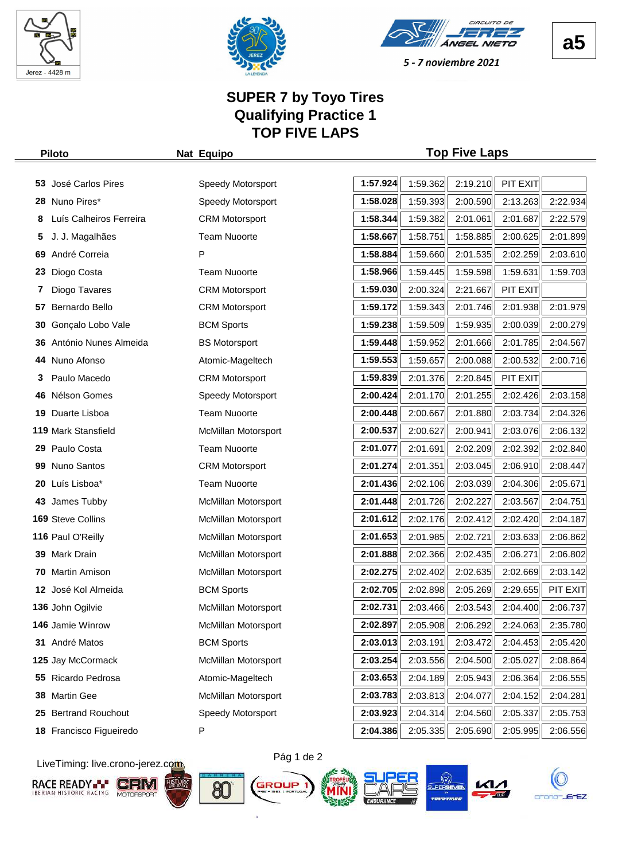





### **SUPER 7 by Toyo Tires Qualifying Practice 1 TOP FIVE LAPS**

#### **Piloto Nat Equipo Top Five Laps**

| 53. | José Carlos Pires        | Speedy Motorsport        | 1:57.924 | 1:59.362 | 2:19.210 | PIT EXIT |          |
|-----|--------------------------|--------------------------|----------|----------|----------|----------|----------|
| 28  | Nuno Pires*              | <b>Speedy Motorsport</b> | 1:58.028 | 1:59.393 | 2:00.590 | 2:13.263 | 2:22.934 |
| 8   | Luís Calheiros Ferreira  | <b>CRM Motorsport</b>    | 1:58.344 | 1:59.382 | 2:01.061 | 2:01.687 | 2:22.579 |
| 5   | J. J. Magalhães          | <b>Team Nuoorte</b>      | 1:58.667 | 1:58.751 | 1:58.885 | 2:00.625 | 2:01.899 |
| 69  | André Correia            | P                        | 1:58.884 | 1:59.660 | 2:01.535 | 2:02.259 | 2:03.610 |
| 23  | Diogo Costa              | <b>Team Nuoorte</b>      | 1:58.966 | 1:59.445 | 1:59.598 | 1:59.631 | 1:59.703 |
| 7   | Diogo Tavares            | <b>CRM Motorsport</b>    | 1:59.030 | 2:00.324 | 2:21.667 | PIT EXIT |          |
| 57  | Bernardo Bello           | <b>CRM Motorsport</b>    | 1:59.172 | 1:59.343 | 2:01.746 | 2:01.938 | 2:01.979 |
| 30  | Gonçalo Lobo Vale        | <b>BCM Sports</b>        | 1:59.238 | 1:59.509 | 1:59.935 | 2:00.039 | 2:00.279 |
| 36  | António Nunes Almeida    | <b>BS Motorsport</b>     | 1:59.448 | 1:59.952 | 2:01.666 | 2:01.785 | 2:04.567 |
| 44  | Nuno Afonso              | Atomic-Mageltech         | 1:59.553 | 1:59.657 | 2:00.088 | 2:00.532 | 2:00.716 |
| 3   | Paulo Macedo             | <b>CRM Motorsport</b>    | 1:59.839 | 2:01.376 | 2:20.845 | PIT EXIT |          |
|     | 46 Nélson Gomes          | Speedy Motorsport        | 2:00.424 | 2:01.170 | 2:01.255 | 2:02.426 | 2:03.158 |
| 19  | Duarte Lisboa            | <b>Team Nuoorte</b>      | 2:00.448 | 2:00.667 | 2:01.880 | 2:03.734 | 2:04.326 |
|     | 119 Mark Stansfield      | McMillan Motorsport      | 2:00.537 | 2:00.627 | 2:00.941 | 2:03.076 | 2:06.132 |
|     | 29 Paulo Costa           | <b>Team Nuoorte</b>      | 2:01.077 | 2:01.691 | 2:02.209 | 2:02.392 | 2:02.840 |
| 99  | Nuno Santos              | <b>CRM Motorsport</b>    | 2:01.274 | 2:01.351 | 2:03.045 | 2:06.910 | 2:08.447 |
|     | 20 Luís Lisboa*          | <b>Team Nuoorte</b>      | 2:01.436 | 2:02.106 | 2:03.039 | 2:04.306 | 2:05.671 |
| 43  | James Tubby              | McMillan Motorsport      | 2:01.448 | 2:01.726 | 2:02.227 | 2:03.567 | 2:04.751 |
|     | 169 Steve Collins        | McMillan Motorsport      | 2:01.612 | 2:02.176 | 2:02.412 | 2:02.420 | 2:04.187 |
|     | 116 Paul O'Reilly        | McMillan Motorsport      | 2:01.653 | 2:01.985 | 2:02.721 | 2:03.633 | 2:06.862 |
|     | 39 Mark Drain            | McMillan Motorsport      | 2:01.888 | 2:02.366 | 2:02.435 | 2:06.271 | 2:06.802 |
|     | <b>70</b> Martin Amison  | McMillan Motorsport      | 2:02.275 | 2:02.402 | 2:02.635 | 2:02.669 | 2:03.142 |
| 12  | José Kol Almeida         | <b>BCM Sports</b>        | 2:02.705 | 2:02.898 | 2:05.269 | 2:29.655 | PIT EXIT |
|     | 136 John Ogilvie         | McMillan Motorsport      | 2:02.731 | 2:03.466 | 2:03.543 | 2:04.400 | 2:06.737 |
|     | 146 Jamie Winrow         | McMillan Motorsport      | 2:02.897 | 2:05.908 | 2:06.292 | 2:24.063 | 2:35.780 |
|     | 31 André Matos           | <b>BCM Sports</b>        | 2:03.013 | 2:03.191 | 2:03.472 | 2:04.453 | 2:05.420 |
|     | 125 Jay McCormack        | McMillan Motorsport      | 2:03.254 | 2:03.556 | 2:04.500 | 2:05.027 | 2:08.864 |
|     | 55 Ricardo Pedrosa       | Atomic-Mageltech         | 2:03.653 | 2:04.189 | 2:05.943 | 2:06.364 | 2:06.555 |
| 38  | <b>Martin Gee</b>        | McMillan Motorsport      | 2:03.783 | 2:03.813 | 2:04.077 | 2:04.152 | 2:04.281 |
| 25  | <b>Bertrand Rouchout</b> | Speedy Motorsport        | 2:03.923 | 2:04.314 | 2:04.560 | 2:05.337 | 2:05.753 |
|     | 18 Francisco Figueiredo  | Ρ                        | 2:04.386 | 2:05.335 | 2:05.690 | 2:05.995 | 2:06.556 |

LiveTiming: live.crono-jerez.com













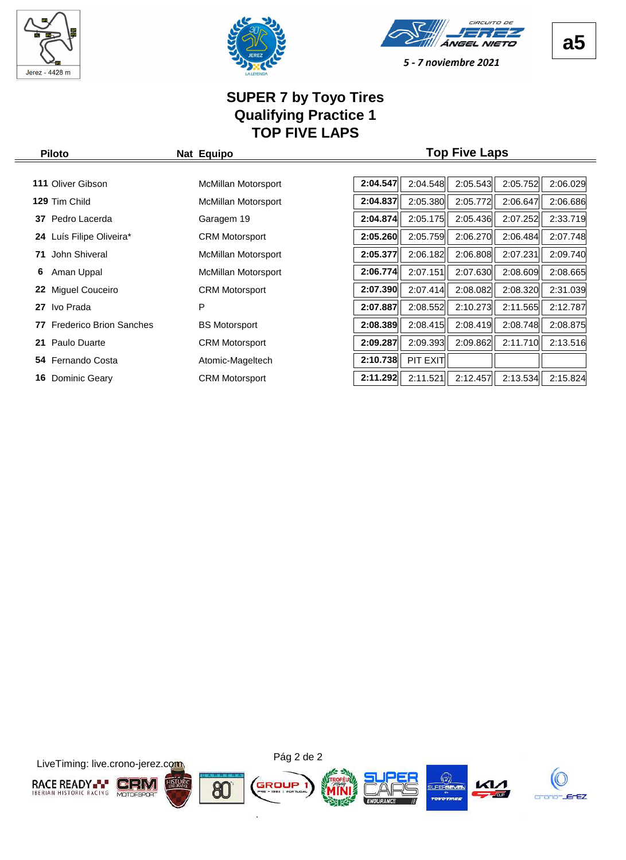





# **SUPER 7 by Toyo Tires Qualifying Practice 1 TOP FIVE LAPS**

| <b>Piloto</b>                        | Nat Equipo            |          |          | <b>Top Five Laps</b> |          |          |
|--------------------------------------|-----------------------|----------|----------|----------------------|----------|----------|
|                                      |                       |          |          |                      |          |          |
| <b>111 Oliver Gibson</b>             | McMillan Motorsport   | 2:04.547 | 2:04.548 | 2:05.543             | 2:05.752 | 2:06.029 |
| 129 Tim Child                        | McMillan Motorsport   | 2:04.837 | 2:05.380 | 2:05.772             | 2:06.647 | 2:06.686 |
| Pedro Lacerda<br>37                  | Garagem 19            | 2:04.874 | 2:05.175 | 2:05.436             | 2:07.252 | 2:33.719 |
| 24 Luís Filipe Oliveira*             | <b>CRM Motorsport</b> | 2:05.260 | 2:05.759 | 2:06.270             | 2:06.484 | 2:07.748 |
| John Shiveral<br>71                  | McMillan Motorsport   | 2:05.377 | 2:06.182 | 2:06.808             | 2:07.231 | 2:09.740 |
| Aman Uppal<br>6                      | McMillan Motorsport   | 2:06.774 | 2:07.151 | 2:07.630             | 2:08.609 | 2:08.665 |
| Miguel Couceiro<br>22                | <b>CRM Motorsport</b> | 2:07.390 | 2:07.414 | 2:08.082             | 2:08.320 | 2:31.039 |
| Ivo Prada<br>27                      | P                     | 2:07.887 | 2:08.552 | 2:10.273             | 2:11.565 | 2:12.787 |
| <b>Frederico Brion Sanches</b><br>77 | <b>BS Motorsport</b>  | 2:08.389 | 2:08.415 | 2:08.419             | 2:08.748 | 2:08.875 |
| Paulo Duarte<br>21                   | <b>CRM Motorsport</b> | 2:09.287 | 2:09.393 | 2:09.862             | 2:11.710 | 2:13.516 |
| 54 Fernando Costa                    | Atomic-Mageltech      | 2:10.738 | PIT EXIT |                      |          |          |
| 16<br>Dominic Geary                  | <b>CRM Motorsport</b> | 2:11.292 | 2:11.521 | 2:12.457             | 2:13.534 | 2:15.824 |

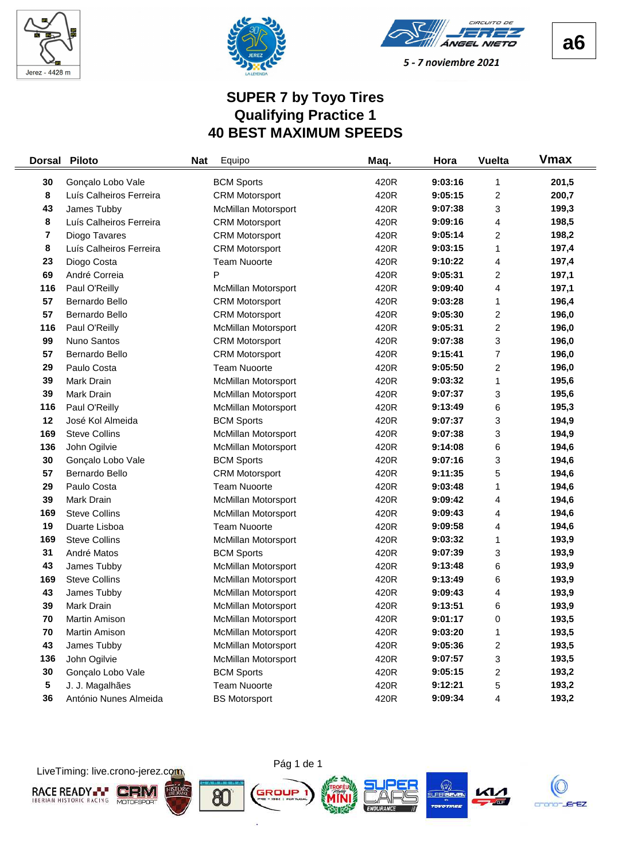



CIRCUITO DE ÁNGEL NIETO

5 - 7 noviembre 2021

# **SUPER 7 by Toyo Tires Qualifying Practice 1 40 BEST MAXIMUM SPEEDS**

| <b>Dorsal</b> | <b>Piloto</b>           | <b>Nat</b> | Equipo                     | Maq. | Hora    | <b>Vuelta</b>           | <b>V</b> max |
|---------------|-------------------------|------------|----------------------------|------|---------|-------------------------|--------------|
| 30            | Gonçalo Lobo Vale       |            | <b>BCM Sports</b>          | 420R | 9:03:16 | 1                       | 201,5        |
| 8             | Luís Calheiros Ferreira |            | <b>CRM Motorsport</b>      | 420R | 9:05:15 | $\overline{c}$          | 200,7        |
| 43            | James Tubby             |            | McMillan Motorsport        | 420R | 9:07:38 | 3                       | 199,3        |
| 8             | Luís Calheiros Ferreira |            | <b>CRM Motorsport</b>      | 420R | 9:09:16 | 4                       | 198,5        |
| 7             | Diogo Tavares           |            | <b>CRM Motorsport</b>      | 420R | 9:05:14 | 2                       | 198,2        |
| 8             | Luís Calheiros Ferreira |            | <b>CRM Motorsport</b>      | 420R | 9:03:15 | 1                       | 197,4        |
| 23            | Diogo Costa             |            | <b>Team Nuoorte</b>        | 420R | 9:10:22 | 4                       | 197,4        |
| 69            | André Correia           |            | P                          | 420R | 9:05:31 | $\overline{c}$          | 197,1        |
| 116           | Paul O'Reilly           |            | McMillan Motorsport        | 420R | 9:09:40 | 4                       | 197,1        |
| 57            | Bernardo Bello          |            | <b>CRM Motorsport</b>      | 420R | 9:03:28 | 1                       | 196,4        |
| 57            | Bernardo Bello          |            | <b>CRM Motorsport</b>      | 420R | 9:05:30 | $\overline{c}$          | 196,0        |
| 116           | Paul O'Reilly           |            | McMillan Motorsport        | 420R | 9:05:31 | $\overline{c}$          | 196,0        |
| 99            | Nuno Santos             |            | <b>CRM Motorsport</b>      | 420R | 9:07:38 | 3                       | 196,0        |
| 57            | Bernardo Bello          |            | <b>CRM Motorsport</b>      | 420R | 9:15:41 | $\overline{7}$          | 196,0        |
| 29            | Paulo Costa             |            | <b>Team Nuoorte</b>        | 420R | 9:05:50 | $\overline{c}$          | 196,0        |
| 39            | Mark Drain              |            | <b>McMillan Motorsport</b> | 420R | 9:03:32 | 1                       | 195,6        |
| 39            | Mark Drain              |            | McMillan Motorsport        | 420R | 9:07:37 | 3                       | 195,6        |
| 116           | Paul O'Reilly           |            | McMillan Motorsport        | 420R | 9:13:49 | 6                       | 195,3        |
| 12            | José Kol Almeida        |            | <b>BCM Sports</b>          | 420R | 9:07:37 | 3                       | 194,9        |
| 169           | <b>Steve Collins</b>    |            | <b>McMillan Motorsport</b> | 420R | 9:07:38 | 3                       | 194,9        |
| 136           | John Ogilvie            |            | <b>McMillan Motorsport</b> | 420R | 9:14:08 | 6                       | 194,6        |
| 30            | Gonçalo Lobo Vale       |            | <b>BCM Sports</b>          | 420R | 9:07:16 | 3                       | 194,6        |
| 57            | Bernardo Bello          |            | <b>CRM Motorsport</b>      | 420R | 9:11:35 | 5                       | 194,6        |
| 29            | Paulo Costa             |            | <b>Team Nuoorte</b>        | 420R | 9:03:48 | $\mathbf{1}$            | 194,6        |
| 39            | Mark Drain              |            | McMillan Motorsport        | 420R | 9:09:42 | 4                       | 194,6        |
| 169           | <b>Steve Collins</b>    |            | McMillan Motorsport        | 420R | 9:09:43 | 4                       | 194,6        |
| 19            | Duarte Lisboa           |            | <b>Team Nuoorte</b>        | 420R | 9:09:58 | 4                       | 194,6        |
| 169           | <b>Steve Collins</b>    |            | McMillan Motorsport        | 420R | 9:03:32 | 1                       | 193,9        |
| 31            | André Matos             |            | <b>BCM Sports</b>          | 420R | 9:07:39 | 3                       | 193,9        |
| 43            | James Tubby             |            | McMillan Motorsport        | 420R | 9:13:48 | 6                       | 193,9        |
| 169           | <b>Steve Collins</b>    |            | <b>McMillan Motorsport</b> | 420R | 9:13:49 | 6                       | 193,9        |
| 43            | James Tubby             |            | <b>McMillan Motorsport</b> | 420R | 9:09:43 | 4                       | 193,9        |
| 39            | Mark Drain              |            | <b>McMillan Motorsport</b> | 420R | 9:13:51 | 6                       | 193,9        |
| 70            | Martin Amison           |            | McMillan Motorsport        | 420R | 9:01:17 | 0                       | 193,5        |
| 70            | Martin Amison           |            | McMillan Motorsport        | 420R | 9:03:20 | 1                       | 193,5        |
| 43            | James Tubby             |            | McMillan Motorsport        | 420R | 9:05:36 | 2                       | 193,5        |
| 136           | John Ogilvie            |            | McMillan Motorsport        | 420R | 9:07:57 | 3                       | 193,5        |
| 30            | Gonçalo Lobo Vale       |            | <b>BCM Sports</b>          | 420R | 9:05:15 | 2                       | 193,2        |
| 5             | J. J. Magalhães         |            | <b>Team Nuoorte</b>        | 420R | 9:12:21 | 5                       | 193,2        |
| 36            | António Nunes Almeida   |            | <b>BS Motorsport</b>       | 420R | 9:09:34 | $\overline{\mathbf{4}}$ | 193,2        |

LiveTiming: live.crono-jerez.com



ò.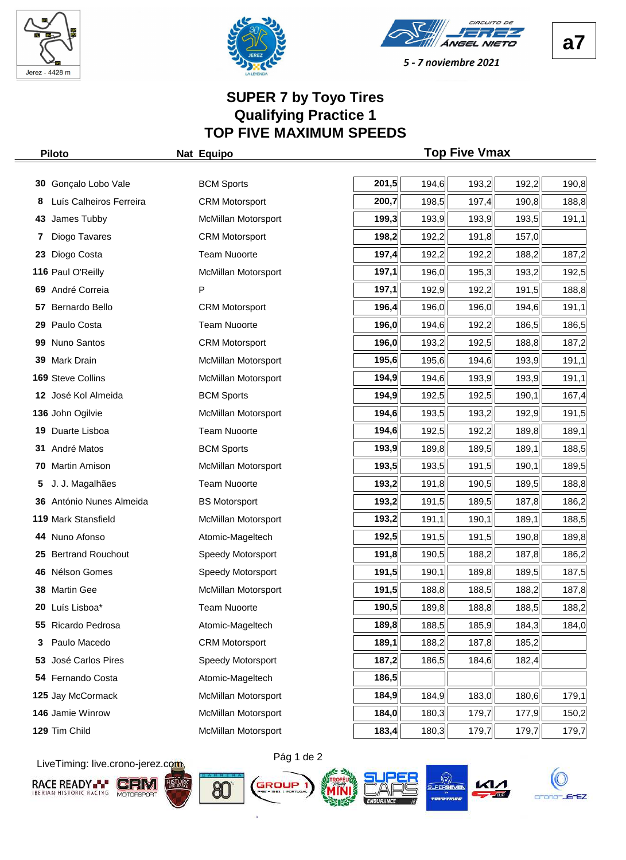



CIRCUITO DE  $\left( -1 \right)$ ÁNGEL NIETO

5 - 7 noviembre 2021

# **SUPER 7 by Toyo Tires Qualifying Practice 1 TOP FIVE MAXIMUM SPEEDS**

|      | <b>Piloto</b>            | Nat Equipo                 |       |       | <b>Top Five Vmax</b> |       |       |
|------|--------------------------|----------------------------|-------|-------|----------------------|-------|-------|
|      |                          |                            |       |       |                      |       |       |
| 30 - | Gonçalo Lobo Vale        | <b>BCM Sports</b>          | 201,5 | 194,6 | 193,2                | 192,2 | 190,8 |
| 8    | Luís Calheiros Ferreira  | <b>CRM Motorsport</b>      | 200,7 | 198,5 | 197,4                | 190,8 | 188,8 |
| 43   | James Tubby              | McMillan Motorsport        | 199,3 | 193,9 | 193,9                | 193,5 | 191,1 |
| 7    | Diogo Tavares            | <b>CRM Motorsport</b>      | 198,2 | 192,2 | 191,8                | 157,0 |       |
| 23   | Diogo Costa              | <b>Team Nuoorte</b>        | 197,4 | 192,2 | 192,2                | 188,2 | 187,2 |
|      | 116 Paul O'Reilly        | McMillan Motorsport        | 197,1 | 196,0 | 195,3                | 193,2 | 192,5 |
|      | 69 André Correia         | P                          | 197,1 | 192,9 | 192,2                | 191,5 | 188,8 |
| 57   | Bernardo Bello           | <b>CRM Motorsport</b>      | 196,4 | 196,0 | 196,0                | 194,6 | 191,1 |
| 29   | Paulo Costa              | <b>Team Nuoorte</b>        | 196,0 | 194,6 | 192,2                | 186,5 | 186,5 |
| 99   | Nuno Santos              | <b>CRM Motorsport</b>      | 196,0 | 193,2 | 192,5                | 188,8 | 187,2 |
| 39   | Mark Drain               | McMillan Motorsport        | 195,6 | 195,6 | 194,6                | 193,9 | 191,1 |
|      | 169 Steve Collins        | McMillan Motorsport        | 194,9 | 194,6 | 193,9                | 193,9 | 191,1 |
|      | 12 José Kol Almeida      | <b>BCM Sports</b>          | 194,9 | 192,5 | 192,5                | 190,1 | 167,4 |
|      | 136 John Ogilvie         | McMillan Motorsport        | 194,6 | 193,5 | 193,2                | 192,9 | 191,5 |
| 19   | Duarte Lisboa            | <b>Team Nuoorte</b>        | 194,6 | 192,5 | 192,2                | 189,8 | 189,1 |
|      | 31 André Matos           | <b>BCM Sports</b>          | 193,9 | 189,8 | 189,5                | 189,1 | 188,5 |
| 70   | Martin Amison            | McMillan Motorsport        | 193,5 | 193,5 | 191,5                | 190,1 | 189,5 |
| 5    | J. J. Magalhães          | <b>Team Nuoorte</b>        | 193,2 | 191,8 | 190,5                | 189,5 | 188,8 |
| 36   | António Nunes Almeida    | <b>BS Motorsport</b>       | 193,2 | 191,5 | 189,5                | 187,8 | 186,2 |
|      | 119 Mark Stansfield      | <b>McMillan Motorsport</b> | 193,2 | 191,1 | 190,1                | 189,1 | 188,5 |
|      | 44 Nuno Afonso           | Atomic-Mageltech           | 192,5 | 191,5 | 191,5                | 190,8 | 189,8 |
| 25   | <b>Bertrand Rouchout</b> | Speedy Motorsport          | 191,8 | 190,5 | 188,2                | 187,8 | 186,2 |
| 46   | Nélson Gomes             | Speedy Motorsport          | 191,5 | 190,1 | 189,8                | 189,5 | 187,5 |
|      | 38 Martin Gee            | McMillan Motorsport        | 191,5 | 188,8 | 188,5                | 188,2 | 187,8 |
|      | 20 Luís Lisboa*          | Team Nuoorte               | 190,5 | 189,8 | 188,8                | 188,5 | 188,2 |
| 55   | Ricardo Pedrosa          | Atomic-Mageltech           | 189,8 | 188,5 | 185,9                | 184,3 | 184,0 |
| 3    | Paulo Macedo             | <b>CRM Motorsport</b>      | 189,1 | 188,2 | 187,8                | 185,2 |       |
| 53   | José Carlos Pires        | Speedy Motorsport          | 187,2 | 186,5 | 184,6                | 182,4 |       |
| 54   | Fernando Costa           | Atomic-Mageltech           | 186,5 |       |                      |       |       |
|      | 125 Jay McCormack        | McMillan Motorsport        | 184,9 | 184,9 | 183,0                | 180,6 | 179,1 |
|      | 146 Jamie Winrow         | McMillan Motorsport        | 184,0 | 180,3 | 179,7                | 177,9 | 150,2 |
|      | 129 Tim Child            | McMillan Motorsport        | 183,4 | 180,3 | 179,7                | 179,7 | 179,7 |

LiveTiming: live.crono-jerez.com











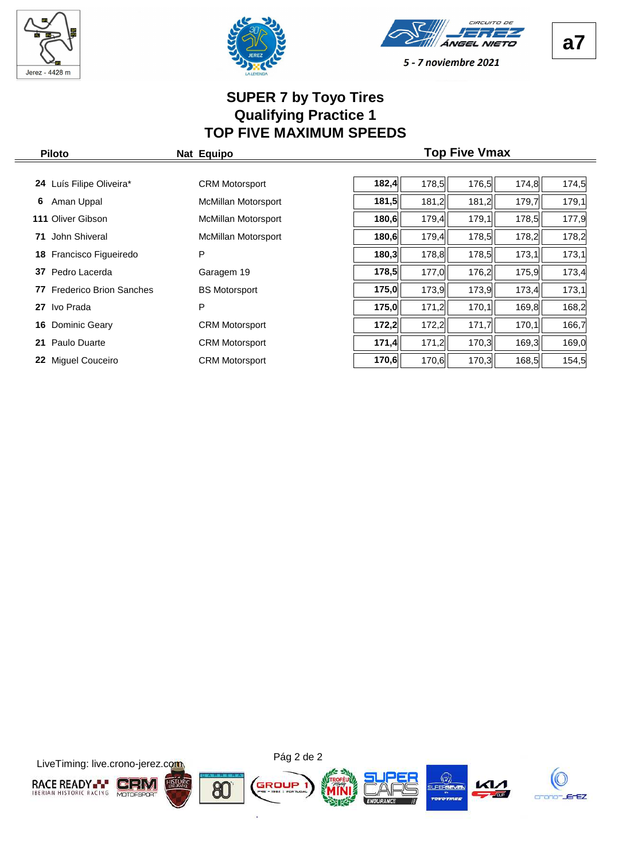





# **SUPER 7 by Toyo Tires Qualifying Practice 1 TOP FIVE MAXIMUM SPEEDS**

| <b>Piloto</b>                        | Nat Equipo                 |       |       | <b>Top Five Vmax</b> |       |       |
|--------------------------------------|----------------------------|-------|-------|----------------------|-------|-------|
|                                      |                            |       |       |                      |       |       |
| 24 Luís Filipe Oliveira*             | <b>CRM Motorsport</b>      | 182,4 | 178,5 | 176,5                | 174,8 | 174,5 |
| Aman Uppal<br>6                      | McMillan Motorsport        | 181,5 | 181,2 | 181,2                | 179,7 | 179,1 |
| <b>111 Oliver Gibson</b>             | <b>McMillan Motorsport</b> | 180,6 | 179,4 | 179,1                | 178,5 | 177,9 |
| John Shiveral<br>71                  | <b>McMillan Motorsport</b> | 180,6 | 179,4 | 178,5                | 178,2 | 178,2 |
| 18 Francisco Figueiredo              | P                          | 180,3 | 178,8 | 178,5                | 173,1 | 173,1 |
| Pedro Lacerda<br>37                  | Garagem 19                 | 178,5 | 177,0 | 176,2                | 175,9 | 173,4 |
| <b>Frederico Brion Sanches</b><br>77 | <b>BS Motorsport</b>       | 175,0 | 173,9 | 173,9                | 173,4 | 173,1 |
| Ivo Prada<br>27                      | P                          | 175,0 | 171,2 | 170,1                | 169,8 | 168,2 |
| Dominic Geary<br>16                  | <b>CRM Motorsport</b>      | 172,2 | 172,2 | 171,7                | 170,1 | 166,7 |
| Paulo Duarte<br>21                   | <b>CRM Motorsport</b>      | 171,4 | 171,2 | 170,3                | 169,3 | 169,0 |
| 22 Miguel Couceiro                   | <b>CRM Motorsport</b>      | 170,6 | 170,6 | 170,3                | 168,5 | 154,5 |

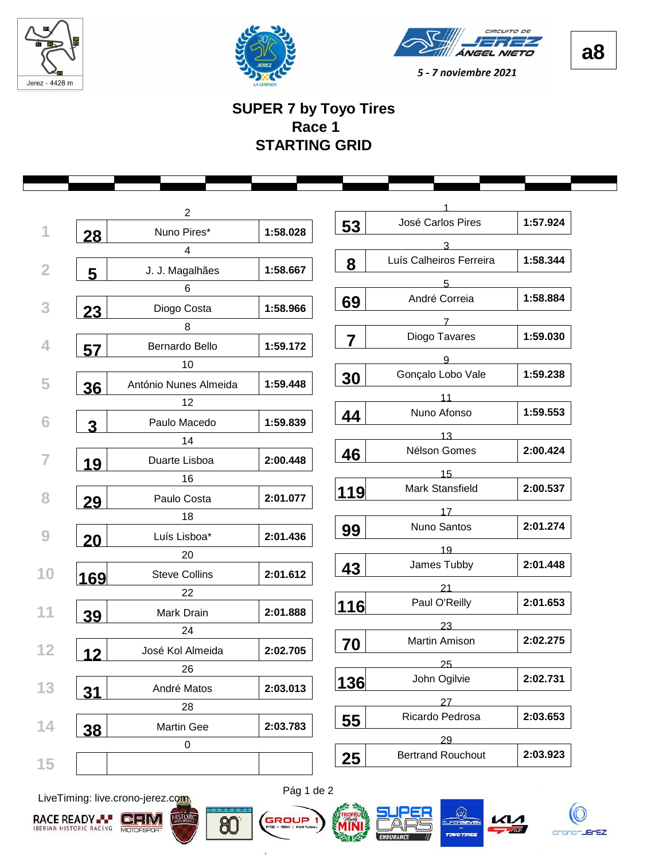





**a8**

5 - 7 noviembre 2021

# **SUPER 7 by Toyo Tires Race 1 STARTING GRID**

|                | $\overline{2}$        |          | 53                      | José Carlos Pires       | 1:57.924 |
|----------------|-----------------------|----------|-------------------------|-------------------------|----------|
| 28             | Nuno Pires*           | 1:58.028 |                         |                         |          |
|                | 4                     |          |                         | Luís Calheiros Ferreira | 1:58.344 |
| 5              | J. J. Magalhães       | 1:58.667 | 8                       |                         |          |
|                | 6                     |          |                         | 5                       |          |
| 23             | Diogo Costa           | 1:58.966 | 69                      | André Correia           | 1:58.884 |
|                | 8                     |          |                         |                         |          |
|                | Bernardo Bello        | 1:59.172 | $\overline{\mathbf{7}}$ | Diogo Tavares           | 1:59.030 |
| 57             | 10                    |          |                         | 9                       |          |
|                | António Nunes Almeida | 1:59.448 | 30                      | Gonçalo Lobo Vale       | 1:59.238 |
| 36             |                       |          |                         | 11                      |          |
|                | 12                    |          | 44                      | Nuno Afonso             | 1:59.553 |
| $\overline{3}$ | Paulo Macedo          | 1:59.839 |                         | 13                      |          |
|                | 14                    |          | 46                      | Nélson Gomes            | 2:00.424 |
| 19             | Duarte Lisboa         | 2:00.448 |                         |                         |          |
|                | 16                    |          |                         | 15<br>Mark Stansfield   | 2:00.537 |
| 29             | Paulo Costa           | 2:01.077 | 119                     |                         |          |
|                | 18                    |          |                         | 17                      |          |
| 20             | Luís Lisboa*          | 2:01.436 | 99                      | Nuno Santos             | 2:01.274 |
|                | 20                    |          |                         | 19                      |          |
|                | <b>Steve Collins</b>  | 2:01.612 | 43                      | James Tubby             | 2:01.448 |
| 169            | 22                    |          |                         | 21                      |          |
|                | Mark Drain            | 2:01.888 | 116                     | Paul O'Reilly           | 2:01.653 |
| 39             |                       |          |                         | 23                      |          |
|                | 24                    |          | 70                      | <b>Martin Amison</b>    | 2:02.275 |
| 12             | José Kol Almeida      | 2:02.705 |                         | 25                      |          |
|                | 26                    |          |                         | John Ogilvie            | 2:02.731 |
| <u>31</u>      | André Matos           | 2:03.013 | 136                     |                         |          |
|                | 28                    |          |                         | 27                      |          |
| <b>38</b>      | Martin Gee            | 2:03.783 | 55                      | Ricardo Pedrosa         | 2:03.653 |
|                | $\pmb{0}$             |          |                         | 29                      |          |

LiveTiming: live.crono-jerez.com





G

ä

8C